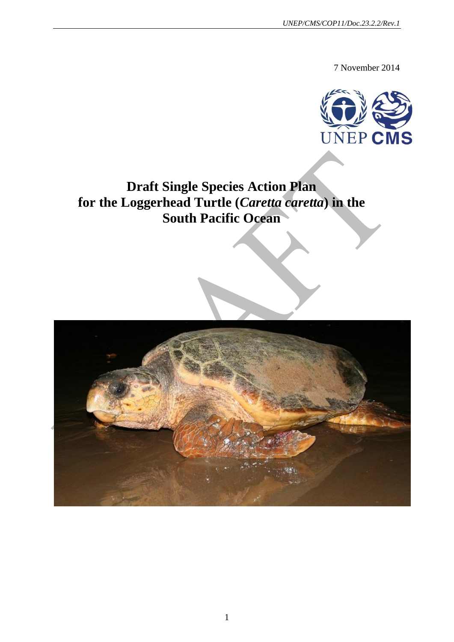7 November 2014



## **Draft Single Species Action Plan for the Loggerhead Turtle (***Caretta caretta***) in the South Pacific Ocean**

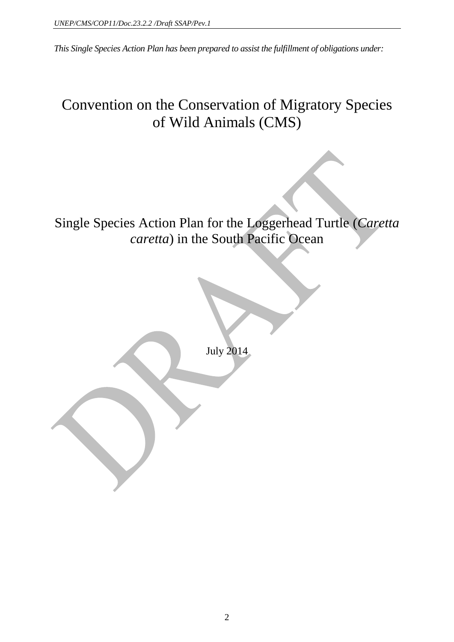*This Single Species Action Plan has been prepared to assist the fulfillment of obligations under:*

## Convention on the Conservation of Migratory Species of Wild Animals (CMS)

Single Species Action Plan for the Loggerhead Turtle (*Caretta caretta*) in the South Pacific Ocean

July 2014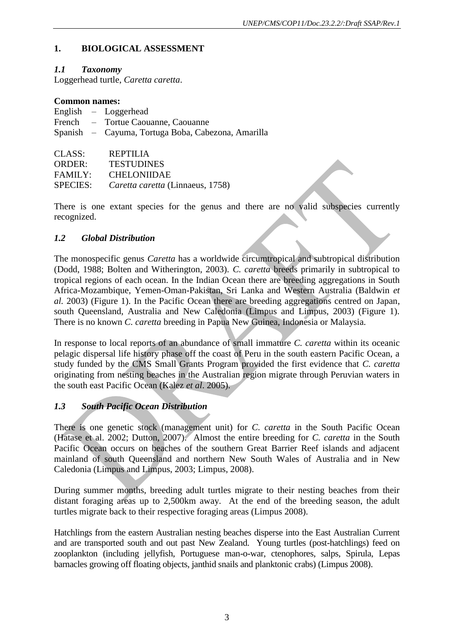### **1. BIOLOGICAL ASSESSMENT**

### *1.1 Taxonomy*

Loggerhead turtle, *Caretta caretta*.

### **Common names:**

|               | English $-$ Loggerhead                             |
|---------------|----------------------------------------------------|
|               | French – Tortue Caouanne, Caouanne                 |
|               | Spanish – Cayuma, Tortuga Boba, Cabezona, Amarilla |
|               |                                                    |
| CLASS:        | REPTILIA                                           |
| <b>ORDER:</b> | <b>TESTUDINES</b>                                  |

FAMILY: CHELONIIDAE

SPECIES: *Caretta caretta* (Linnaeus, 1758)

There is one extant species for the genus and there are no valid subspecies currently recognized.

### *1.2 Global Distribution*

The monospecific genus *Caretta* has a worldwide circumtropical and subtropical distribution (Dodd, 1988; Bolten and Witherington, 2003). *C. caretta* breeds primarily in subtropical to tropical regions of each ocean. In the Indian Ocean there are breeding aggregations in South Africa-Mozambique, Yemen-Oman-Pakistan, Sri Lanka and Western Australia (Baldwin *et al.* 2003) (Figure 1). In the Pacific Ocean there are breeding aggregations centred on Japan, south Queensland, Australia and New Caledonia (Limpus and Limpus, 2003) (Figure 1). There is no known *C. caretta* breeding in Papua New Guinea, Indonesia or Malaysia.

In response to local reports of an abundance of small immature *C. caretta* within its oceanic pelagic dispersal life history phase off the coast of Peru in the south eastern Pacific Ocean, a study funded by the CMS Small Grants Program provided the first evidence that *C. caretta* originating from nesting beaches in the Australian region migrate through Peruvian waters in the south east Pacific Ocean (Kalez *et al*. 2005).

### *1.3 South Pacific Ocean Distribution*

There is one genetic stock (management unit) for *C. caretta* in the South Pacific Ocean (Hatase et al. 2002; Dutton, 2007). Almost the entire breeding for *C. caretta* in the South Pacific Ocean occurs on beaches of the southern Great Barrier Reef islands and adjacent mainland of south Queensland and northern New South Wales of Australia and in New Caledonia (Limpus and Limpus, 2003; Limpus, 2008).

During summer months, breeding adult turtles migrate to their nesting beaches from their distant foraging areas up to 2,500km away. At the end of the breeding season, the adult turtles migrate back to their respective foraging areas (Limpus 2008).

Hatchlings from the eastern Australian nesting beaches disperse into the East Australian Current and are transported south and out past New Zealand. Young turtles (post-hatchlings) feed on zooplankton (including jellyfish, Portuguese man-o-war, ctenophores, salps, Spirula, Lepas barnacles growing off floating objects, janthid snails and planktonic crabs) (Limpus 2008).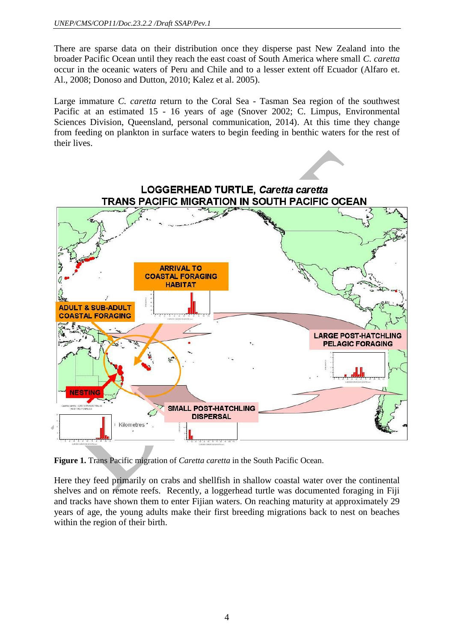There are sparse data on their distribution once they disperse past New Zealand into the broader Pacific Ocean until they reach the east coast of South America where small *C. caretta* occur in the oceanic waters of Peru and Chile and to a lesser extent off Ecuador (Alfaro et. Al., 2008; Donoso and Dutton, 2010; Kalez et al. 2005).

Large immature *C. caretta* return to the Coral Sea - Tasman Sea region of the southwest Pacific at an estimated 15 - 16 years of age (Snover 2002; C. Limpus, Environmental Sciences Division, Queensland, personal communication, 2014). At this time they change from feeding on plankton in surface waters to begin feeding in benthic waters for the rest of their lives.



**Figure 1.** Trans Pacific migration of *Caretta caretta* in the South Pacific Ocean.

Here they feed primarily on crabs and shellfish in shallow coastal water over the continental shelves and on remote reefs. Recently, a loggerhead turtle was documented foraging in Fiji and tracks have shown them to enter Fijian waters. On reaching maturity at approximately 29 years of age, the young adults make their first breeding migrations back to nest on beaches within the region of their birth.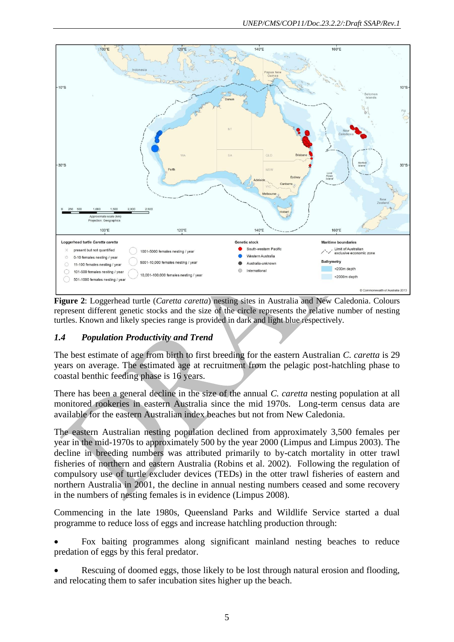

**Figure 2**: Loggerhead turtle (*Caretta caretta*) nesting sites in Australia and New Caledonia. Colours represent different genetic stocks and the size of the circle represents the relative number of nesting turtles. Known and likely species range is provided in dark and light blue respectively.

### *1.4 Population Productivity and Trend*

The best estimate of age from birth to first breeding for the eastern Australian *C. caretta* is 29 years on average. The estimated age at recruitment from the pelagic post-hatchling phase to coastal benthic feeding phase is 16 years.

There has been a general decline in the size of the annual *C. caretta* nesting population at all monitored rookeries in eastern Australia since the mid 1970s. Long-term census data are available for the eastern Australian index beaches but not from New Caledonia.

The eastern Australian nesting population declined from approximately 3,500 females per year in the mid-1970s to approximately 500 by the year 2000 (Limpus and Limpus 2003). The decline in breeding numbers was attributed primarily to by-catch mortality in otter trawl fisheries of northern and eastern Australia (Robins et al. 2002). Following the regulation of compulsory use of turtle excluder devices (TEDs) in the otter trawl fisheries of eastern and northern Australia in 2001, the decline in annual nesting numbers ceased and some recovery in the numbers of nesting females is in evidence (Limpus 2008).

Commencing in the late 1980s, Queensland Parks and Wildlife Service started a dual programme to reduce loss of eggs and increase hatchling production through:

 Fox baiting programmes along significant mainland nesting beaches to reduce predation of eggs by this feral predator.

 Rescuing of doomed eggs, those likely to be lost through natural erosion and flooding, and relocating them to safer incubation sites higher up the beach.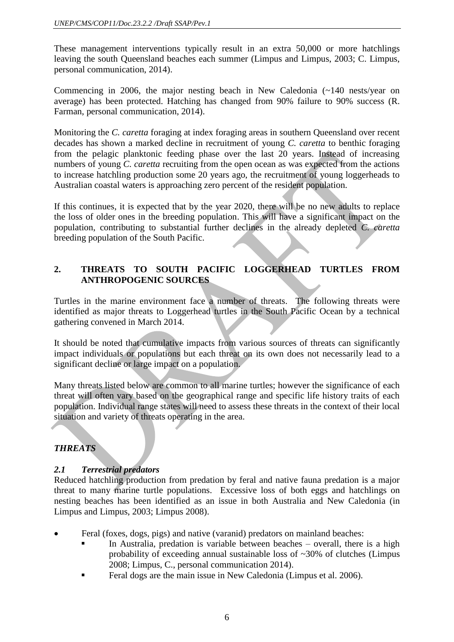These management interventions typically result in an extra 50,000 or more hatchlings leaving the south Queensland beaches each summer (Limpus and Limpus, 2003; C. Limpus, personal communication, 2014).

Commencing in 2006, the major nesting beach in New Caledonia (~140 nests/year on average) has been protected. Hatching has changed from 90% failure to 90% success (R. Farman, personal communication, 2014).

Monitoring the *C. caretta* foraging at index foraging areas in southern Queensland over recent decades has shown a marked decline in recruitment of young *C. caretta* to benthic foraging from the pelagic planktonic feeding phase over the last 20 years. Instead of increasing numbers of young *C. caretta* recruiting from the open ocean as was expected from the actions to increase hatchling production some 20 years ago, the recruitment of young loggerheads to Australian coastal waters is approaching zero percent of the resident population.

If this continues, it is expected that by the year 2020, there will be no new adults to replace the loss of older ones in the breeding population. This will have a significant impact on the population, contributing to substantial further declines in the already depleted *C. caretta* breeding population of the South Pacific.

### **2. THREATS TO SOUTH PACIFIC LOGGERHEAD TURTLES FROM ANTHROPOGENIC SOURCES**

Turtles in the marine environment face a number of threats. The following threats were identified as major threats to Loggerhead turtles in the South Pacific Ocean by a technical gathering convened in March 2014.

It should be noted that cumulative impacts from various sources of threats can significantly impact individuals or populations but each threat on its own does not necessarily lead to a significant decline or large impact on a population.

Many threats listed below are common to all marine turtles; however the significance of each threat will often vary based on the geographical range and specific life history traits of each population. Individual range states will need to assess these threats in the context of their local situation and variety of threats operating in the area.

### *THREATS*

### *2.1 Terrestrial predators*

Reduced hatchling production from predation by feral and native fauna predation is a major threat to many marine turtle populations. Excessive loss of both eggs and hatchlings on nesting beaches has been identified as an issue in both Australia and New Caledonia (in Limpus and Limpus, 2003; Limpus 2008).

- Feral (foxes, dogs, pigs) and native (varanid) predators on mainland beaches:
	- In Australia, predation is variable between beaches overall, there is a high probability of exceeding annual sustainable loss of ~30% of clutches (Limpus 2008; Limpus, C., personal communication 2014).
	- Feral dogs are the main issue in New Caledonia (Limpus et al. 2006).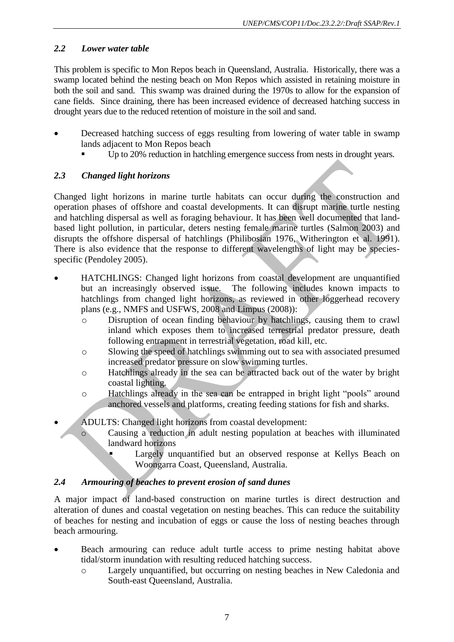### *2.2 Lower water table*

This problem is specific to Mon Repos beach in Queensland, Australia. Historically, there was a swamp located behind the nesting beach on Mon Repos which assisted in retaining moisture in both the soil and sand. This swamp was drained during the 1970s to allow for the expansion of cane fields. Since draining, there has been increased evidence of decreased hatching success in drought years due to the reduced retention of moisture in the soil and sand.

- Decreased hatching success of eggs resulting from lowering of water table in swamp lands adjacent to Mon Repos beach
	- Up to 20% reduction in hatchling emergence success from nests in drought years.

### *2.3 Changed light horizons*

Changed light horizons in marine turtle habitats can occur during the construction and operation phases of offshore and coastal developments. It can disrupt marine turtle nesting and hatchling dispersal as well as foraging behaviour. It has been well documented that landbased light pollution, in particular, deters nesting female marine turtles [\(Salmon 2003\)](#page-42-0) and disrupts the offshore dispersal of hatchlings [\(Philibosian 1976,](#page-42-1) [Witherington et al. 1991\)](#page-43-0). There is also evidence that the response to different wavelengths of light may be speciesspecific (Pendoley 2005).

- HATCHLINGS: Changed light horizons from coastal development are unquantified but an increasingly observed issue. The following includes known impacts to hatchlings from changed light horizons, as reviewed in other loggerhead recovery plans (e.g., NMFS and USFWS, 2008 and Limpus (2008)):
	- o Disruption of ocean finding behaviour by hatchlings, causing them to crawl inland which exposes them to increased terrestrial predator pressure, death following entrapment in terrestrial vegetation, road kill, etc.
	- o Slowing the speed of hatchlings swimming out to sea with associated presumed increased predator pressure on slow swimming turtles.
	- o Hatchlings already in the sea can be attracted back out of the water by bright coastal lighting.
	- o Hatchlings already in the sea can be entrapped in bright light "pools" around anchored vessels and platforms, creating feeding stations for fish and sharks.
- ADULTS: Changed light horizons from coastal development:
	- o Causing a reduction in adult nesting population at beaches with illuminated landward horizons
		- Largely unquantified but an observed response at Kellys Beach on Woongarra Coast, Queensland, Australia.

### *2.4 Armouring of beaches to prevent erosion of sand dunes*

A major impact of land-based construction on marine turtles is direct destruction and alteration of dunes and coastal vegetation on nesting beaches. This can reduce the suitability of beaches for nesting and incubation of eggs or cause the loss of nesting beaches through beach armouring.

- Beach armouring can reduce adult turtle access to prime nesting habitat above tidal/storm inundation with resulting reduced hatching success.
	- o Largely unquantified, but occurring on nesting beaches in New Caledonia and South-east Queensland, Australia.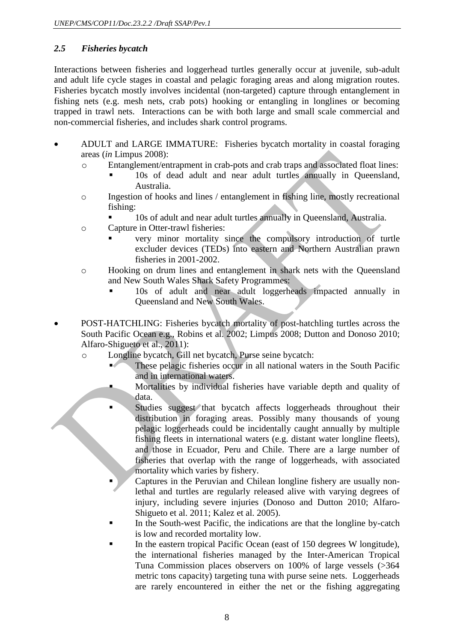### *2.5 Fisheries bycatch*

Interactions between fisheries and loggerhead turtles generally occur at juvenile, sub-adult and adult life cycle stages in coastal and pelagic foraging areas and along migration routes. Fisheries bycatch mostly involves incidental (non-targeted) capture through entanglement in fishing nets (e.g. mesh nets, crab pots) hooking or entangling in longlines or becoming trapped in trawl nets. Interactions can be with both large and small scale commercial and non-commercial fisheries, and includes shark control programs.

- ADULT and LARGE IMMATURE: Fisheries bycatch mortality in coastal foraging areas (*in* Limpus 2008):
	- o Entanglement/entrapment in crab-pots and crab traps and associated float lines:
		- 10s of dead adult and near adult turtles annually in Queensland, Australia.
	- o Ingestion of hooks and lines / entanglement in fishing line, mostly recreational fishing:
		- 10s of adult and near adult turtles annually in Queensland, Australia.
	- o Capture in Otter-trawl fisheries:
		- very minor mortality since the compulsory introduction of turtle excluder devices (TEDs) into eastern and Northern Australian prawn fisheries in 2001-2002.
	- o Hooking on drum lines and entanglement in shark nets with the Queensland and New South Wales Shark Safety Programmes:
		- 10s of adult and near adult loggerheads impacted annually in Queensland and New South Wales.
- POST-HATCHLING: Fisheries bycatch mortality of post-hatchling turtles across the South Pacific Ocean e.g., Robins et al. 2002; Limpus 2008; Dutton and Donoso 2010; Alfaro-Shigueto et al., 2011):
	- o Longline bycatch, Gill net bycatch, Purse seine bycatch:
		- These pelagic fisheries occur in all national waters in the South Pacific and in international waters.
			- Mortalities by individual fisheries have variable depth and quality of data.
		- Studies suggest that bycatch affects loggerheads throughout their distribution in foraging areas. Possibly many thousands of young pelagic loggerheads could be incidentally caught annually by multiple fishing fleets in international waters (e.g. distant water longline fleets), and those in Ecuador, Peru and Chile. There are a large number of fisheries that overlap with the range of loggerheads, with associated mortality which varies by fishery.
		- Captures in the Peruvian and Chilean longline fishery are usually nonlethal and turtles are regularly released alive with varying degrees of injury, including severe injuries (Donoso and Dutton 2010; Alfaro-Shigueto et al. 2011; Kalez et al. 2005).
		- In the South-west Pacific, the indications are that the longline by-catch is low and recorded mortality low.
		- In the eastern tropical Pacific Ocean (east of 150 degrees W longitude), the international fisheries managed by the Inter-American Tropical Tuna Commission places observers on 100% of large vessels (>364 metric tons capacity) targeting tuna with purse seine nets. Loggerheads are rarely encountered in either the net or the fishing aggregating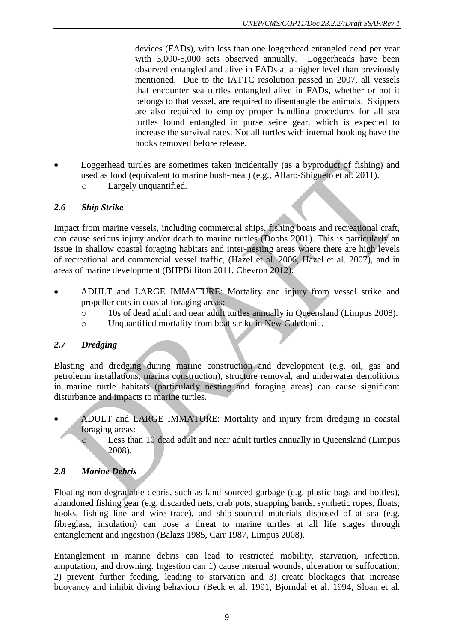devices (FADs), with less than one loggerhead entangled dead per year with 3,000-5,000 sets observed annually. Loggerheads have been observed entangled and alive in FADs at a higher level than previously mentioned. Due to the IATTC resolution passed in 2007, all vessels that encounter sea turtles entangled alive in FADs, whether or not it belongs to that vessel, are required to disentangle the animals. Skippers are also required to employ proper handling procedures for all sea turtles found entangled in purse seine gear, which is expected to increase the survival rates. Not all turtles with internal hooking have the hooks removed before release.

 Loggerhead turtles are sometimes taken incidentally (as a byproduct of fishing) and used as food (equivalent to marine bush-meat) (e.g., Alfaro-Shigueto et al. 2011). o Largely unquantified.

### *2.6 Ship Strike*

Impact from marine vessels, including commercial ships, fishing boats and recreational craft, can cause serious injury and/or death to marine turtles (Dobbs 2001). This is particularly an issue in shallow coastal foraging habitats and inter-nesting areas where there are high levels of recreational and commercial vessel traffic, (Hazel et al. 2006, Hazel et al. 2007), and in areas of marine development [\(BHPBilliton 2011,](#page-41-0) Chevron 2012).

- ADULT and LARGE IMMATURE: Mortality and injury from vessel strike and propeller cuts in coastal foraging areas:
	- o 10s of dead adult and near adult turtles annually in Queensland (Limpus 2008).
	- o Unquantified mortality from boat strike in New Caledonia.

### *2.7 Dredging*

Blasting and dredging during marine construction and development (e.g. oil, gas and petroleum installations, marina construction), structure removal, and underwater demolitions in marine turtle habitats (particularly nesting and foraging areas) can cause significant disturbance and impacts to marine turtles.

- ADULT and LARGE IMMATURE: Mortality and injury from dredging in coastal foraging areas:
	- o Less than 10 dead adult and near adult turtles annually in Queensland (Limpus 2008).

### *2.8 Marine Debris*

Floating non-degradable debris, such as land-sourced garbage (e.g. plastic bags and bottles), abandoned fishing gear (e.g. discarded nets, crab pots, strapping bands, synthetic ropes, floats, hooks, fishing line and wire trace), and ship-sourced materials disposed of at sea (e.g. fibreglass, insulation) can pose a threat to marine turtles at all life stages through entanglement and ingestion [\(Balazs 1985,](#page-41-1) [Carr 1987,](#page-41-2) Limpus 2008).

Entanglement in marine debris can lead to restricted mobility, starvation, infection, amputation, and drowning. Ingestion can 1) cause internal wounds, ulceration or suffocation; 2) prevent further feeding, leading to starvation and 3) create blockages that increase buoyancy and inhibit diving behaviour (Beck et al. 1991, [Bjorndal et al. 1994,](#page-41-3) Sloan et al.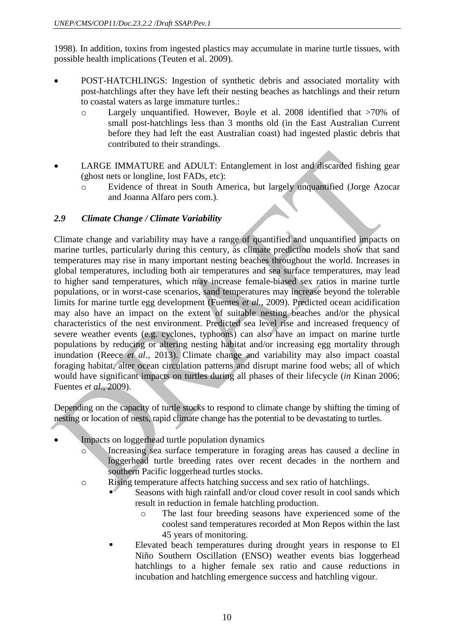1998). In addition, toxins from ingested plastics may accumulate in marine turtle tissues, with possible health implications [\(Teuten et al. 2009\)](#page-42-2).

- POST-HATCHLINGS: Ingestion of synthetic debris and associated mortality with post-hatchlings after they have left their nesting beaches as hatchlings and their return to coastal waters as large immature turtles.:
	- o Largely unquantified. However, Boyle et al. 2008 identified that >70% of small post-hatchlings less than 3 months old (in the East Australian Current before they had left the east Australian coast) had ingested plastic debris that contributed to their strandings.
- LARGE IMMATURE and ADULT: Entanglement in lost and discarded fishing gear (ghost nets or longline, lost FADs, etc):
	- o Evidence of threat in South America, but largely unquantified (Jorge Azocar and Joanna Alfaro pers com.).

### *2.9 Climate Change / Climate Variability*

Climate change and variability may have a range of quantified and unquantified impacts on marine turtles, particularly during this century, as climate prediction models show that sand temperatures may rise in many important nesting beaches throughout the world. Increases in global temperatures, including both air temperatures and sea surface temperatures, may lead to higher sand temperatures, which may increase female-biased sex ratios in marine turtle populations, or in worst-case scenarios, sand temperatures may increase beyond the tolerable limits for marine turtle egg development (Fuentes *et al*., 2009). Predicted ocean acidification may also have an impact on the extent of suitable nesting beaches and/or the physical characteristics of the nest environment. Predicted sea level rise and increased frequency of severe weather events (e.g. cyclones, typhoons) can also have an impact on marine turtle populations by reducing or altering nesting habitat and/or increasing egg mortality through inundation (Reece *et al*., 2013). Climate change and variability may also impact coastal foraging habitat, alter ocean circulation patterns and disrupt marine food webs; all of which would have significant impacts on turtles during all phases of their lifecycle (*in* Kinan 2006; Fuentes *et al*., 2009).

Depending on the capacity of turtle stocks to respond to climate change by shifting the timing of nesting or location of nests, rapid climate change has the potential to be devastating to turtles.

- Impacts on loggerhead turtle population dynamics
	- o Increasing sea surface temperature in foraging areas has caused a decline in loggerhead turtle breeding rates over recent decades in the northern and southern Pacific loggerhead turtles stocks.
	- o Rising temperature affects hatching success and sex ratio of hatchlings.
		- Seasons with high rainfall and/or cloud cover result in cool sands which result in reduction in female hatchling production.
			- o The last four breeding seasons have experienced some of the coolest sand temperatures recorded at Mon Repos within the last 45 years of monitoring.
		- Elevated beach temperatures during drought years in response to El Niño Southern Oscillation (ENSO) weather events bias loggerhead hatchlings to a higher female sex ratio and cause reductions in incubation and hatchling emergence success and hatchling vigour.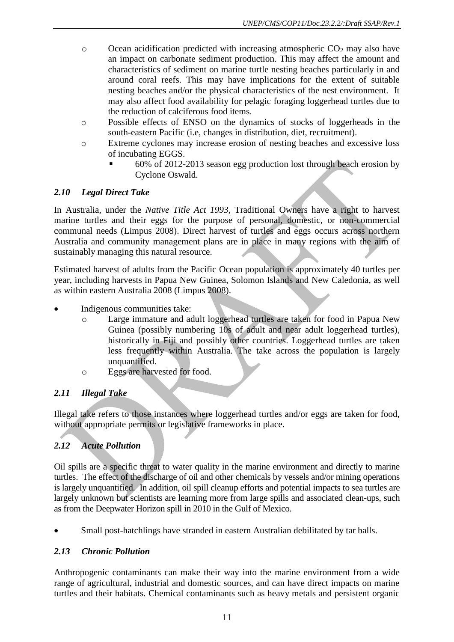- $\circ$  Ocean acidification predicted with increasing atmospheric CO<sub>2</sub> may also have an impact on carbonate sediment production. This may affect the amount and characteristics of sediment on marine turtle nesting beaches particularly in and around coral reefs. This may have implications for the extent of suitable nesting beaches and/or the physical characteristics of the nest environment. It may also affect food availability for pelagic foraging loggerhead turtles due to the reduction of calciferous food items.
- o Possible effects of ENSO on the dynamics of stocks of loggerheads in the south-eastern Pacific (i.e, changes in distribution, diet, recruitment).
- o Extreme cyclones may increase erosion of nesting beaches and excessive loss of incubating EGGS.
	- 60% of 2012-2013 season egg production lost through beach erosion by Cyclone Oswald.

### *2.10 Legal Direct Take*

In Australia, under the *Native Title Act 1993*, Traditional Owners have a right to harvest marine turtles and their eggs for the purpose of personal, domestic, or non-commercial communal needs (Limpus 2008). Direct harvest of turtles and eggs occurs across northern Australia and community management plans are in place in many regions with the aim of sustainably managing this natural resource.

Estimated harvest of adults from the Pacific Ocean population is approximately 40 turtles per year, including harvests in Papua New Guinea, Solomon Islands and New Caledonia, as well as within eastern Australia 2008 (Limpus 2008).

- Indigenous communities take:
	- o Large immature and adult loggerhead turtles are taken for food in Papua New Guinea (possibly numbering 10s of adult and near adult loggerhead turtles), historically in Fiji and possibly other countries. Loggerhead turtles are taken less frequently within Australia. The take across the population is largely unquantified.
	- o Eggs are harvested for food.

### *2.11 Illegal Take*

Illegal take refers to those instances where loggerhead turtles and/or eggs are taken for food, without appropriate permits or legislative frameworks in place.

### *2.12 Acute Pollution*

Oil spills are a specific threat to water quality in the marine environment and directly to marine turtles. The effect of the discharge of oil and other chemicals by vessels and/or mining operations is largely unquantified. In addition, oil spill cleanup efforts and potential impacts to sea turtles are largely unknown but scientists are learning more from large spills and associated clean-ups, such as from the Deepwater Horizon spill in 2010 in the Gulf of Mexico.

Small post-hatchlings have stranded in eastern Australian debilitated by tar balls.

### *2.13 Chronic Pollution*

Anthropogenic contaminants can make their way into the marine environment from a wide range of agricultural, industrial and domestic sources, and can have direct impacts on marine turtles and their habitats. Chemical contaminants such as heavy metals and persistent organic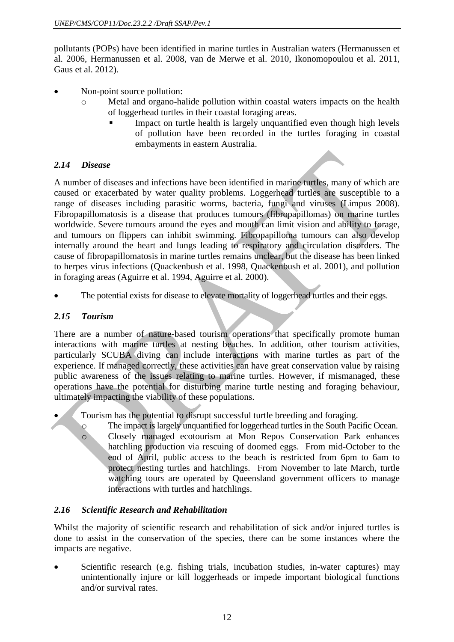pollutants (POPs) have been identified in marine turtles in Australian waters [\(Hermanussen et](#page-42-3)  [al. 2006,](#page-42-3) [Hermanussen et al. 2008,](#page-42-4) [van de Merwe et al. 2010,](#page-42-5) [Ikonomopoulou et al. 2011,](#page-42-6) [Gaus et al. 2012\)](#page-41-4).

- Non-point source pollution:
	- Metal and organo-halide pollution within coastal waters impacts on the health of loggerhead turtles in their coastal foraging areas.
		- Impact on turtle health is largely unquantified even though high levels of pollution have been recorded in the turtles foraging in coastal embayments in eastern Australia.

### *2.14 Disease*

A number of diseases and infections have been identified in marine turtles, many of which are caused or exacerbated by water quality problems. Loggerhead turtles are susceptible to a range of diseases including parasitic worms, bacteria, fungi and viruses (Limpus 2008). Fibropapillomatosis is a disease that produces tumours (fibropapillomas) on marine turtles worldwide. Severe tumours around the eyes and mouth can limit vision and ability to forage, and tumours on flippers can inhibit swimming. Fibropapilloma tumours can also develop internally around the heart and lungs leading to respiratory and circulation disorders. The cause of fibropapillomatosis in marine turtles remains unclear, but the disease has been linked to herpes virus infections [\(Quackenbush et al. 1998,](#page-42-7) [Quackenbush et al. 2001\)](#page-42-8), and pollution in foraging areas [\(Aguirre et al. 1994,](#page-41-5) [Aguirre et al. 2000\)](#page-41-6).

The potential exists for disease to elevate mortality of loggerhead turtles and their eggs.

### *2.15 Tourism*

There are a number of nature-based tourism operations that specifically promote human interactions with marine turtles at nesting beaches. In addition, other tourism activities, particularly SCUBA diving can include interactions with marine turtles as part of the experience. If managed correctly, these activities can have great conservation value by raising public awareness of the issues relating to marine turtles. However, if mismanaged, these operations have the potential for disturbing marine turtle nesting and foraging behaviour, ultimately impacting the viability of these populations.

Tourism has the potential to disrupt successful turtle breeding and foraging.

o The impact is largely unquantified for loggerhead turtles in the South Pacific Ocean. o Closely managed ecotourism at Mon Repos Conservation Park enhances hatchling production via rescuing of doomed eggs. From mid-October to the end of April, public access to the beach is restricted from 6pm to 6am to protect nesting turtles and hatchlings. From November to late March, turtle watching tours are operated by Queensland government officers to manage interactions with turtles and hatchlings.

### *2.16 Scientific Research and Rehabilitation*

Whilst the majority of scientific research and rehabilitation of sick and/or injured turtles is done to assist in the conservation of the species, there can be some instances where the impacts are negative.

 Scientific research (e.g. fishing trials, incubation studies, in-water captures) may unintentionally injure or kill loggerheads or impede important biological functions and/or survival rates.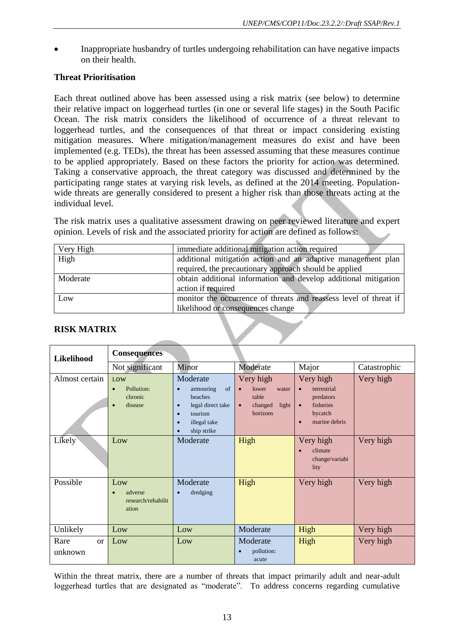Inappropriate husbandry of turtles undergoing rehabilitation can have negative impacts on their health.

### **Threat Prioritisation**

Each threat outlined above has been assessed using a risk matrix (see below) to determine their relative impact on loggerhead turtles (in one or several life stages) in the South Pacific Ocean. The risk matrix considers the likelihood of occurrence of a threat relevant to loggerhead turtles, and the consequences of that threat or impact considering existing mitigation measures. Where mitigation/management measures do exist and have been implemented (e.g. TEDs), the threat has been assessed assuming that these measures continue to be applied appropriately. Based on these factors the priority for action was determined. Taking a conservative approach, the threat category was discussed and determined by the participating range states at varying risk levels, as defined at the 2014 meeting. Populationwide threats are generally considered to present a higher risk than those threats acting at the individual level.

The risk matrix uses a qualitative assessment drawing on peer reviewed literature and expert opinion. Levels of risk and the associated priority for action are defined as follows:

| Very High | immediate additional mitigation action required                   |
|-----------|-------------------------------------------------------------------|
| High      | additional mitigation action and an adaptive management plan      |
|           | required, the precautionary approach should be applied            |
| Moderate  | obtain additional information and develop additional mitigation   |
|           | action if required                                                |
| Low       | monitor the occurrence of threats and reassess level of threat if |
|           | likelihood or consequences change                                 |

#### **RISK MATRIX**

| Likelihood            | <b>Consequences</b>                                  |                                                                                                                                                                        |                                                                                                |                                                                                                                       |              |
|-----------------------|------------------------------------------------------|------------------------------------------------------------------------------------------------------------------------------------------------------------------------|------------------------------------------------------------------------------------------------|-----------------------------------------------------------------------------------------------------------------------|--------------|
|                       | Not significant                                      | Minor                                                                                                                                                                  | Moderate                                                                                       | Major                                                                                                                 | Catastrophic |
| Almost certain        | LOW<br>Pollution:<br>chronic<br>disease<br>$\bullet$ | Moderate<br>of<br>armouring<br>$\bullet$<br>beaches<br>legal direct take<br>$\bullet$<br>tourism<br>$\bullet$<br>illegal take<br>$\bullet$<br>ship strike<br>$\bullet$ | Very high<br>lower<br>water<br>$\bullet$<br>table<br>changed<br>light<br>$\bullet$<br>horizons | Very high<br>terrestrial<br>$\bullet$<br>predators<br>fisheries<br>$\bullet$<br>bycatch<br>marine debris<br>$\bullet$ | Very high    |
| Likely                | Low                                                  | Moderate                                                                                                                                                               | High                                                                                           | Very high<br>climate<br>change/variabi<br>lity                                                                        | Very high    |
| Possible              | Low<br>adverse<br>research/rehabilit<br>ation        | Moderate<br>dredging<br>$\bullet$                                                                                                                                      | High                                                                                           | Very high                                                                                                             | Very high    |
| Unlikely              | Low                                                  | Low                                                                                                                                                                    | Moderate                                                                                       | High                                                                                                                  | Very high    |
| Rare<br>or<br>unknown | Low                                                  | Low                                                                                                                                                                    | Moderate<br>pollution:<br>$\bullet$<br>acute                                                   | High                                                                                                                  | Very high    |

Within the threat matrix, there are a number of threats that impact primarily adult and near-adult loggerhead turtles that are designated as "moderate". To address concerns regarding cumulative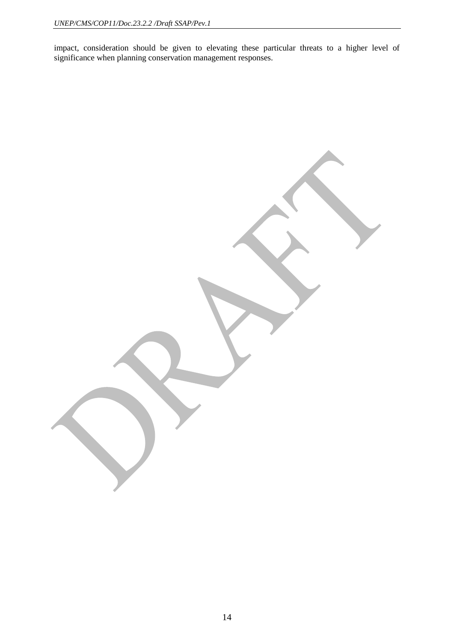impact, consideration should be given to elevating these particular threats to a higher level of significance when planning conservation management responses.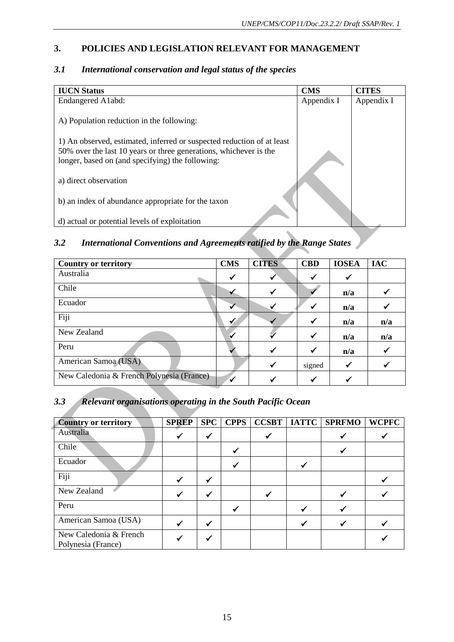### **3. POLICIES AND LEGISLATION RELEVANT FOR MANAGEMENT**

| <b>IUCN Status</b>                                                                                                                                                                              | <b>CMS</b> | <b>CITES</b> |
|-------------------------------------------------------------------------------------------------------------------------------------------------------------------------------------------------|------------|--------------|
| Endangered A1abd:                                                                                                                                                                               | Appendix I | Appendix I   |
| A) Population reduction in the following:                                                                                                                                                       |            |              |
| 1) An observed, estimated, inferred or suspected reduction of at least<br>50% over the last 10 years or three generations, whichever is the<br>longer, based on (and specifying) the following: |            |              |
| a) direct observation                                                                                                                                                                           |            |              |
| b) an index of abundance appropriate for the taxon                                                                                                                                              |            |              |
| d) actual or potential levels of exploitation                                                                                                                                                   |            |              |

### *3.1 International conservation and legal status of the species*

### *3.2 International Conventions and Agreements ratified by the Range States*

| <b>Country or territory</b>               | <b>CMS</b> | <b>CITES</b> | <b>CBD</b>   | <b>IOSEA</b> | <b>IAC</b> |
|-------------------------------------------|------------|--------------|--------------|--------------|------------|
| Australia                                 |            |              |              | ✔            |            |
| Chile                                     |            |              |              | n/a          |            |
| Ecuador                                   |            |              |              | n/a          |            |
| Fiji                                      |            |              |              | n/a          | n/a        |
| New Zealand                               |            |              |              | n/a          | n/a        |
| Peru                                      |            |              | $\checkmark$ | n/a          |            |
| American Samoa (USA)                      |            | $\checkmark$ | signed       | $\checkmark$ |            |
| New Caledonia & French Polynesia (France) |            |              |              |              |            |

### *3.3 Relevant organisations operating in the South Pacific Ocean*

| <b>Country or territory</b>                  | <b>SPREP</b> | <b>SPC</b>   | <b>CPPS</b> | <b>CCSBT</b> | <b>IATTC</b> | <b>SPRFMO</b> | <b>WCPFC</b> |
|----------------------------------------------|--------------|--------------|-------------|--------------|--------------|---------------|--------------|
| Australia                                    |              | $\checkmark$ |             |              |              |               |              |
| Chile                                        |              |              |             |              |              |               |              |
| Ecuador                                      |              |              |             |              |              |               |              |
| Fiji                                         |              |              |             |              |              |               |              |
| New Zealand                                  |              |              |             |              |              |               |              |
| Peru                                         |              |              |             |              |              |               |              |
| American Samoa (USA)                         |              |              |             |              |              |               |              |
| New Caledonia & French<br>Polynesia (France) |              |              |             |              |              |               |              |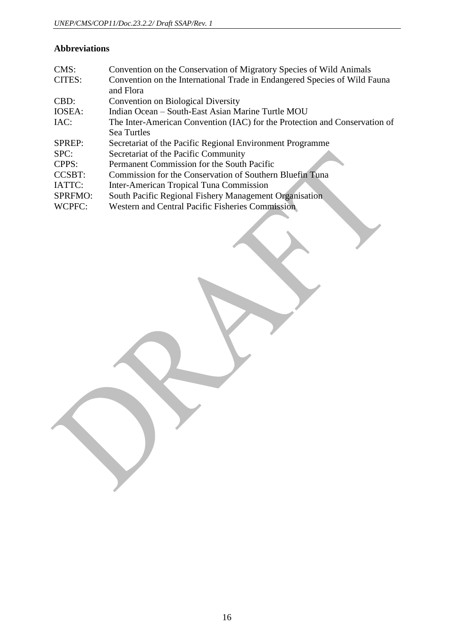### **Abbreviations**

| CMS:           | Convention on the Conservation of Migratory Species of Wild Animals        |
|----------------|----------------------------------------------------------------------------|
| CITES:         | Convention on the International Trade in Endangered Species of Wild Fauna  |
|                | and Flora                                                                  |
| CBD:           | <b>Convention on Biological Diversity</b>                                  |
| IOSEA:         | Indian Ocean – South-East Asian Marine Turtle MOU                          |
| IAC:           | The Inter-American Convention (IAC) for the Protection and Conservation of |
|                | Sea Turtles                                                                |
| SPREP:         | Secretariat of the Pacific Regional Environment Programme                  |
| SPC:           | Secretariat of the Pacific Community                                       |
| CPPS:          | Permanent Commission for the South Pacific                                 |
| <b>CCSBT:</b>  | Commission for the Conservation of Southern Bluefin Tuna                   |
| IATTC:         | Inter-American Tropical Tuna Commission                                    |
| <b>SPRFMO:</b> | South Pacific Regional Fishery Management Organisation                     |
| WCPFC:         | <b>Western and Central Pacific Fisheries Commission</b>                    |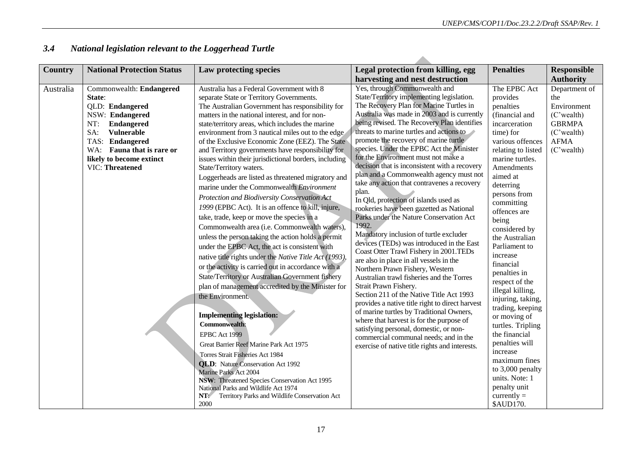| Country   | <b>National Protection Status</b> | Law protecting species                                 | Legal protection from killing, egg                                                          | <b>Penalties</b>                   | <b>Responsible</b> |
|-----------|-----------------------------------|--------------------------------------------------------|---------------------------------------------------------------------------------------------|------------------------------------|--------------------|
|           |                                   |                                                        | harvesting and nest destruction                                                             |                                    | <b>Authority</b>   |
| Australia | Commonwealth: Endangered          | Australia has a Federal Government with 8              | Yes, through Commonwealth and                                                               | The EPBC Act                       | Department of      |
|           | State:                            | separate State or Territory Governments.               | State/Territory implementing legislation.                                                   | provides                           | the                |
|           | QLD: Endangered                   | The Australian Government has responsibility for       | The Recovery Plan for Marine Turtles in                                                     | penalties                          | Environment        |
|           | NSW: Endangered                   | matters in the national interest, and for non-         | Australia was made in 2003 and is currently                                                 | (financial and                     | (C'wealth)         |
|           | NT:<br>Endangered                 | state/territory areas, which includes the marine       | being revised. The Recovery Plan identifies                                                 | incarceration                      | <b>GBRMPA</b>      |
|           | Vulnerable<br>SA:                 | environment from 3 nautical miles out to the edge      | threats to marine turtles and actions to                                                    | time) for                          | $(C$ 'wealth)      |
|           | TAS: Endangered                   | of the Exclusive Economic Zone (EEZ). The State        | promote the recovery of marine turtle                                                       | various offences                   | <b>AFMA</b>        |
|           | WA: Fauna that is rare or         | and Territory governments have responsibility for      | species. Under the EPBC Act the Minister<br>for the Environment must not make a             | relating to listed                 | (C'wealth)         |
|           | likely to become extinct          | issues within their jurisdictional borders, including  | decision that is inconsistent with a recovery                                               | marine turtles.                    |                    |
|           | VIC: Threatened                   | State/Territory waters.                                | plan and a Commonwealth agency must not                                                     | Amendments                         |                    |
|           |                                   | Loggerheads are listed as threatened migratory and     | take any action that contravenes a recovery                                                 | aimed at                           |                    |
|           |                                   | marine under the Commonwealth Environment              | plan.                                                                                       | deterring<br>persons from          |                    |
|           |                                   | Protection and Biodiversity Conservation Act           | In Qld, protection of islands used as                                                       | committing                         |                    |
|           |                                   | 1999 (EPBC Act). It is an offence to kill, injure,     | rookeries have been gazetted as National                                                    | offences are                       |                    |
|           |                                   | take, trade, keep or move the species in a             | Parks under the Nature Conservation Act                                                     | being                              |                    |
|           |                                   | Commonwealth area (i.e. Commonwealth waters),          | 1992.                                                                                       | considered by                      |                    |
|           |                                   | unless the person taking the action holds a permit     | Mandatory inclusion of turtle excluder                                                      | the Australian                     |                    |
|           |                                   | under the EPBC Act, the act is consistent with         | devices (TEDs) was introduced in the East                                                   | Parliament to                      |                    |
|           |                                   | native title rights under the Native Title Act (1993), | Coast Otter Trawl Fishery in 2001.TEDs<br>are also in place in all vessels in the           | increase                           |                    |
|           |                                   | or the activity is carried out in accordance with a    | Northern Prawn Fishery, Western                                                             | financial                          |                    |
|           |                                   | State/Territory or Australian Government fishery       | Australian trawl fisheries and the Torres                                                   | penalties in                       |                    |
|           |                                   | plan of management accredited by the Minister for      | Strait Prawn Fishery.                                                                       | respect of the<br>illegal killing, |                    |
|           |                                   | the Environment.                                       | Section 211 of the Native Title Act 1993<br>provides a native title right to direct harvest | injuring, taking,                  |                    |
|           |                                   |                                                        |                                                                                             | trading, keeping                   |                    |
|           |                                   | <b>Implementing legislation:</b>                       | of marine turtles by Traditional Owners,                                                    | or moving of                       |                    |
|           |                                   | <b>Commonwealth:</b>                                   | where that harvest is for the purpose of                                                    | turtles. Tripling                  |                    |
|           |                                   | EPBC Act 1999                                          | satisfying personal, domestic, or non-<br>commercial communal needs; and in the             | the financial                      |                    |
|           |                                   | Great Barrier Reef Marine Park Act 1975                | exercise of native title rights and interests.                                              | penalties will                     |                    |
|           |                                   | Torres Strait Fisheries Act 1984                       |                                                                                             | increase                           |                    |
|           |                                   | <b>QLD:</b> Nature Conservation Act 1992               |                                                                                             | maximum fines                      |                    |
|           |                                   | <b>Marine Parks Act 2004</b>                           |                                                                                             | to 3,000 penalty                   |                    |
|           |                                   | NSW: Threatened Species Conservation Act 1995          |                                                                                             | units. Note: 1                     |                    |
|           |                                   | National Parks and Wildlife Act 1974                   |                                                                                             | penalty unit                       |                    |
|           |                                   | NT:<br>Territory Parks and Wildlife Conservation Act   |                                                                                             | $currently =$                      |                    |
|           |                                   | 2000                                                   |                                                                                             | \$AUD170.                          |                    |

### *3.4 National legislation relevant to the Loggerhead Turtle*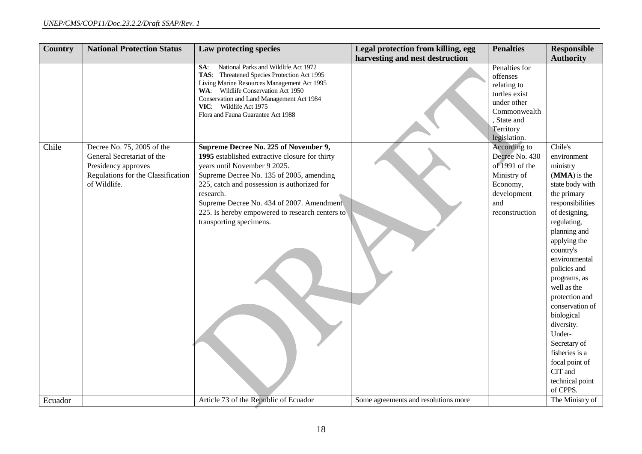| Country | <b>National Protection Status</b>                                                                                                     | Law protecting species                                                                                                                                                                                                                                                                                                                                     | Legal protection from killing, egg   | <b>Penalties</b>                                                                                                                   | <b>Responsible</b>                                                                                                                                                                                                                                                                                                                                                                                                             |
|---------|---------------------------------------------------------------------------------------------------------------------------------------|------------------------------------------------------------------------------------------------------------------------------------------------------------------------------------------------------------------------------------------------------------------------------------------------------------------------------------------------------------|--------------------------------------|------------------------------------------------------------------------------------------------------------------------------------|--------------------------------------------------------------------------------------------------------------------------------------------------------------------------------------------------------------------------------------------------------------------------------------------------------------------------------------------------------------------------------------------------------------------------------|
|         |                                                                                                                                       |                                                                                                                                                                                                                                                                                                                                                            | harvesting and nest destruction      |                                                                                                                                    | <b>Authority</b>                                                                                                                                                                                                                                                                                                                                                                                                               |
|         |                                                                                                                                       | National Parks and Wildlife Act 1972<br>SA:<br>TAS: Threatened Species Protection Act 1995<br>Living Marine Resources Management Act 1995<br>WA: Wildlife Conservation Act 1950<br>Conservation and Land Management Act 1984<br>VIC: Wildlife Act 1975<br>Flora and Fauna Guarantee Act 1988                                                               |                                      | Penalties for<br>offenses<br>relating to<br>turtles exist<br>under other<br>Commonwealth<br>State and<br>Territory<br>legislation. |                                                                                                                                                                                                                                                                                                                                                                                                                                |
| Chile   | Decree No. 75, 2005 of the<br>General Secretariat of the<br>Presidency approves<br>Regulations for the Classification<br>of Wildlife. | Supreme Decree No. 225 of November 9,<br>1995 established extractive closure for thirty<br>years until November 9 2025.<br>Supreme Decree No. 135 of 2005, amending<br>225, catch and possession is authorized for<br>research.<br>Supreme Decree No. 434 of 2007. Amendment<br>225. Is hereby empowered to research centers to<br>transporting specimens. |                                      | According to<br>Decree No. 430<br>of 1991 of the<br>Ministry of<br>Economy,<br>development<br>and<br>reconstruction                | Chile's<br>environment<br>ministry<br>(MMA) is the<br>state body with<br>the primary<br>responsibilities<br>of designing,<br>regulating,<br>planning and<br>applying the<br>country's<br>environmental<br>policies and<br>programs, as<br>well as the<br>protection and<br>conservation of<br>biological<br>diversity.<br>Under-<br>Secretary of<br>fisheries is a<br>focal point of<br>CIT and<br>technical point<br>of CPPS. |
| Ecuador |                                                                                                                                       | Article 73 of the Republic of Ecuador                                                                                                                                                                                                                                                                                                                      | Some agreements and resolutions more |                                                                                                                                    | The Ministry of                                                                                                                                                                                                                                                                                                                                                                                                                |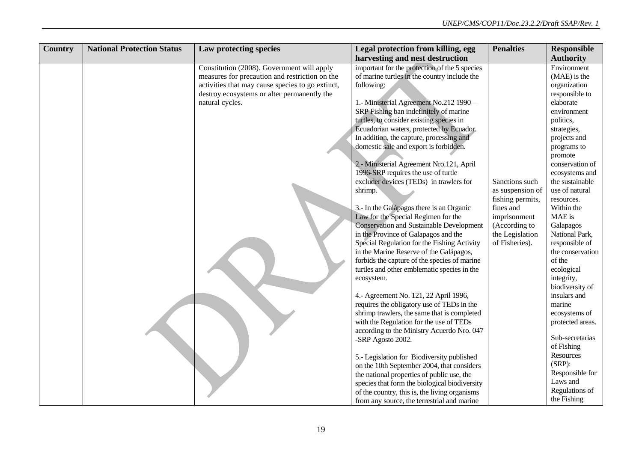| <b>Country</b> | <b>National Protection Status</b> | Law protecting species                           | Legal protection from killing, egg                                                  | <b>Penalties</b>                  | <b>Responsible</b>               |
|----------------|-----------------------------------|--------------------------------------------------|-------------------------------------------------------------------------------------|-----------------------------------|----------------------------------|
|                |                                   |                                                  | harvesting and nest destruction                                                     |                                   | <b>Authority</b>                 |
|                |                                   | Constitution (2008). Government will apply       | important for the protection of the 5 species                                       |                                   | Environment                      |
|                |                                   | measures for precaution and restriction on the   | of marine turtles in the country include the                                        |                                   | (MAE) is the                     |
|                |                                   | activities that may cause species to go extinct, | following:                                                                          |                                   | organization                     |
|                |                                   | destroy ecosystems or alter permanently the      |                                                                                     |                                   | responsible to                   |
|                |                                   | natural cycles.                                  | 1.- Ministerial Agreement No.212 1990 -                                             |                                   | elaborate                        |
|                |                                   |                                                  | SRP Fishing ban indefinitely of marine                                              |                                   | environment                      |
|                |                                   |                                                  | turtles, to consider existing species in                                            |                                   | politics,                        |
|                |                                   |                                                  | Ecuadorian waters, protected by Ecuador.                                            |                                   | strategies,                      |
|                |                                   |                                                  | In addition, the capture, processing and                                            |                                   | projects and                     |
|                |                                   |                                                  | domestic sale and export is forbidden.                                              |                                   | programs to                      |
|                |                                   |                                                  |                                                                                     |                                   | promote                          |
|                |                                   |                                                  | 2.- Ministerial Agreement Nro.121, April                                            |                                   | conservation of                  |
|                |                                   |                                                  | 1996-SRP requires the use of turtle                                                 |                                   | ecosystems and                   |
|                |                                   |                                                  | excluder devices (TEDs) in trawlers for                                             | Sanctions such                    | the sustainable                  |
|                |                                   |                                                  | shrimp.                                                                             | as suspension of                  | use of natural                   |
|                |                                   |                                                  |                                                                                     | fishing permits,                  | resources.                       |
|                |                                   |                                                  | 3.- In the Galápagos there is an Organic                                            | fines and                         | Within the                       |
|                |                                   |                                                  | Law for the Special Regimen for the                                                 | imprisonment                      | MAE is                           |
|                |                                   |                                                  | <b>Conservation and Sustainable Development</b>                                     | (According to                     | Galapagos                        |
|                |                                   |                                                  | in the Province of Galapagos and the<br>Special Regulation for the Fishing Activity | the Legislation<br>of Fisheries). | National Park,<br>responsible of |
|                |                                   |                                                  | in the Marine Reserve of the Galápagos,                                             |                                   | the conservation                 |
|                |                                   |                                                  | forbids the capture of the species of marine                                        |                                   | of the                           |
|                |                                   |                                                  | turtles and other emblematic species in the                                         |                                   | ecological                       |
|                |                                   |                                                  | ecosystem.                                                                          |                                   | integrity,                       |
|                |                                   |                                                  |                                                                                     |                                   | biodiversity of                  |
|                |                                   |                                                  | 4.- Agreement No. 121, 22 April 1996,                                               |                                   | insulars and                     |
|                |                                   |                                                  | requires the obligatory use of TEDs in the                                          |                                   | marine                           |
|                |                                   |                                                  | shrimp trawlers, the same that is completed                                         |                                   | ecosystems of                    |
|                |                                   |                                                  | with the Regulation for the use of TEDs                                             |                                   | protected areas.                 |
|                |                                   |                                                  | according to the Ministry Acuerdo Nro. 047                                          |                                   |                                  |
|                |                                   |                                                  | -SRP Agosto 2002.                                                                   |                                   | Sub-secretarias                  |
|                |                                   |                                                  |                                                                                     |                                   | of Fishing                       |
|                |                                   |                                                  | 5.- Legislation for Biodiversity published                                          |                                   | Resources                        |
|                |                                   |                                                  | on the 10th September 2004, that considers                                          |                                   | $(SRP)$ :                        |
|                |                                   |                                                  | the national properties of public use, the                                          |                                   | Responsible for                  |
|                |                                   |                                                  | species that form the biological biodiversity                                       |                                   | Laws and                         |
|                |                                   |                                                  | of the country, this is, the living organisms                                       |                                   | Regulations of                   |
|                |                                   |                                                  | from any source, the terrestrial and marine                                         |                                   | the Fishing                      |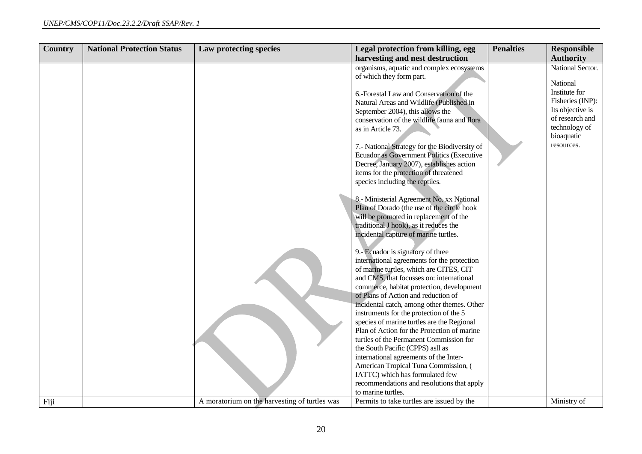| <b>Country</b> | <b>National Protection Status</b> | Law protecting species                        | Legal protection from killing, egg                                                                                                                                                                                                                                                                                                                                                                                                                                                                                                                                                                                                                                                                                                                                                                                                                                                                                                                                                                                                                                                                                                                                                                                                                                                                                                           | <b>Penalties</b> | <b>Responsible</b>                                                                                                                                    |
|----------------|-----------------------------------|-----------------------------------------------|----------------------------------------------------------------------------------------------------------------------------------------------------------------------------------------------------------------------------------------------------------------------------------------------------------------------------------------------------------------------------------------------------------------------------------------------------------------------------------------------------------------------------------------------------------------------------------------------------------------------------------------------------------------------------------------------------------------------------------------------------------------------------------------------------------------------------------------------------------------------------------------------------------------------------------------------------------------------------------------------------------------------------------------------------------------------------------------------------------------------------------------------------------------------------------------------------------------------------------------------------------------------------------------------------------------------------------------------|------------------|-------------------------------------------------------------------------------------------------------------------------------------------------------|
|                |                                   |                                               | harvesting and nest destruction                                                                                                                                                                                                                                                                                                                                                                                                                                                                                                                                                                                                                                                                                                                                                                                                                                                                                                                                                                                                                                                                                                                                                                                                                                                                                                              |                  | <b>Authority</b>                                                                                                                                      |
|                |                                   |                                               | organisms, aquatic and complex ecosystems<br>of which they form part.<br>6.-Forestal Law and Conservation of the<br>Natural Areas and Wildlife (Published in<br>September 2004), this allows the<br>conservation of the wildlife fauna and flora<br>as in Article 73.<br>7.- National Strategy for the Biodiversity of<br>Ecuador as Government Politics (Executive<br>Decree, January 2007), establishes action<br>items for the protection of threatened<br>species including the reptiles.<br>8.- Ministerial Agreement No. xx National<br>Plan of Dorado (the use of the circle hook<br>will be promoted in replacement of the<br>traditional J hook), as it reduces the<br>incidental capture of marine turtles.<br>9.- Ecuador is signatory of three<br>international agreements for the protection<br>of marine turtles, which are CITES, CIT<br>and CMS, that focusses on: international<br>commerce, habitat protection, development<br>of Plans of Action and reduction of<br>incidental catch, among other themes. Other<br>instruments for the protection of the 5<br>species of marine turtles are the Regional<br>Plan of Action for the Protection of marine<br>turtles of the Permanent Commission for<br>the South Pacific (CPPS) asll as<br>international agreements of the Inter-<br>American Tropical Tuna Commission, ( |                  | National Sector.<br>National<br>Institute for<br>Fisheries (INP):<br>Its objective is<br>of research and<br>technology of<br>bioaquatic<br>resources. |
| Fiji           |                                   |                                               | IATTC) which has formulated few<br>recommendations and resolutions that apply<br>to marine turtles.                                                                                                                                                                                                                                                                                                                                                                                                                                                                                                                                                                                                                                                                                                                                                                                                                                                                                                                                                                                                                                                                                                                                                                                                                                          |                  |                                                                                                                                                       |
|                |                                   | A moratorium on the harvesting of turtles was | Permits to take turtles are issued by the                                                                                                                                                                                                                                                                                                                                                                                                                                                                                                                                                                                                                                                                                                                                                                                                                                                                                                                                                                                                                                                                                                                                                                                                                                                                                                    |                  | Ministry of                                                                                                                                           |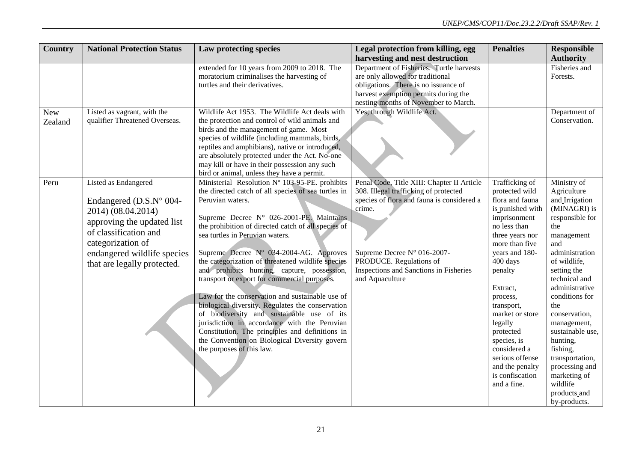| <b>Country</b> | <b>National Protection Status</b> | Law protecting species                              | Legal protection from killing, egg         | <b>Penalties</b>             | <b>Responsible</b>     |
|----------------|-----------------------------------|-----------------------------------------------------|--------------------------------------------|------------------------------|------------------------|
|                |                                   |                                                     | harvesting and nest destruction            |                              | <b>Authority</b>       |
|                |                                   | extended for 10 years from 2009 to 2018. The        | Department of Fisheries. Turtle harvests   |                              | Fisheries and          |
|                |                                   | moratorium criminalises the harvesting of           | are only allowed for traditional           |                              | Forests.               |
|                |                                   | turtles and their derivatives.                      | obligations. There is no issuance of       |                              |                        |
|                |                                   |                                                     | harvest exemption permits during the       |                              |                        |
|                |                                   |                                                     | nesting months of November to March.       |                              |                        |
| <b>New</b>     | Listed as vagrant, with the       | Wildlife Act 1953. The Wildlife Act deals with      | Yes, through Wildlife Act.                 |                              | Department of          |
| Zealand        | qualifier Threatened Overseas.    | the protection and control of wild animals and      |                                            |                              | Conservation.          |
|                |                                   | birds and the management of game. Most              |                                            |                              |                        |
|                |                                   | species of wildlife (including mammals, birds,      |                                            |                              |                        |
|                |                                   | reptiles and amphibians), native or introduced,     |                                            |                              |                        |
|                |                                   | are absolutely protected under the Act. No-one      |                                            |                              |                        |
|                |                                   | may kill or have in their possession any such       |                                            |                              |                        |
|                |                                   | bird or animal, unless they have a permit.          |                                            |                              |                        |
| Peru           | <b>Listed as Endangered</b>       | Ministerial Resolution N° 103-95-PE. prohibits      | Penal Code, Title XIII: Chapter II Article | <b>Trafficking of</b>        | Ministry of            |
|                |                                   | the directed catch of all species of sea turtles in | 308. Illegal trafficking of protected      | protected wild               | Agriculture            |
|                | Endangered ( $D.S.N°$ 004-        | Peruvian waters.                                    | species of flora and fauna is considered a | flora and fauna              | and Irrigation         |
|                | 2014) (08.04.2014)                | Supreme Decree N° 026-2001-PE. Maintains            | crime.                                     | is punished with             | (MINAGRI) is           |
|                | approving the updated list        | the prohibition of directed catch of all species of |                                            | imprisonment<br>no less than | responsible for<br>the |
|                | of classification and             | sea turtles in Peruvian waters.                     |                                            | three years nor              | management             |
|                | categorization of                 |                                                     |                                            | more than five               | and                    |
|                | endangered wildlife species       | Supreme Decree Nº 034-2004-AG. Approves             | Supreme Decree N° 016-2007-                | years and 180-               | administration         |
|                |                                   | the categorization of threatened wildlife species   | PRODUCE. Regulations of                    | 400 days                     | of wildlife,           |
|                | that are legally protected.       | and prohibits hunting, capture, possession,         | Inspections and Sanctions in Fisheries     | penalty                      | setting the            |
|                |                                   | transport or export for commercial purposes.        | and Aquaculture                            |                              | technical and          |
|                |                                   |                                                     |                                            | Extract,                     | administrative         |
|                |                                   | Law for the conservation and sustainable use of     |                                            | process,                     | conditions for         |
|                |                                   | biological diversity. Regulates the conservation    |                                            | transport,                   | the                    |
|                |                                   | of biodiversity and sustainable use of its          |                                            | market or store              | conservation,          |
|                |                                   | jurisdiction in accordance with the Peruvian        |                                            | legally                      | management,            |
|                |                                   | Constitution. The principles and definitions in     |                                            | protected                    | sustainable use,       |
|                |                                   | the Convention on Biological Diversity govern       |                                            | species, is                  | hunting,               |
|                |                                   | the purposes of this law.                           |                                            | considered a                 | fishing,               |
|                |                                   |                                                     |                                            | serious offense              | transportation,        |
|                |                                   |                                                     |                                            | and the penalty              | processing and         |
|                |                                   |                                                     |                                            | is confiscation              | marketing of           |
|                |                                   |                                                     |                                            | and a fine.                  | wildlife               |
|                |                                   |                                                     |                                            |                              | products_and           |
|                |                                   |                                                     |                                            |                              | by-products.           |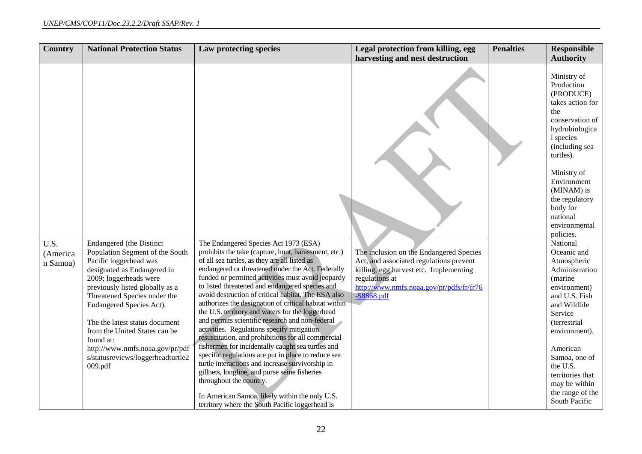| Country                                   | <b>National Protection Status</b>                                                                                                                                                                                                                                                                                                                                                                                       | Law protecting species                                                                                                                                                                                                                                                                                                                                                                                                                                                                                                                                                                                                                                                                                                                                                                                                                                                                                                                                                                   | Legal protection from killing, egg                                                                                                                                                                         | <b>Penalties</b> | <b>Responsible</b>                                                                                                                                                                                                                                                                  |
|-------------------------------------------|-------------------------------------------------------------------------------------------------------------------------------------------------------------------------------------------------------------------------------------------------------------------------------------------------------------------------------------------------------------------------------------------------------------------------|------------------------------------------------------------------------------------------------------------------------------------------------------------------------------------------------------------------------------------------------------------------------------------------------------------------------------------------------------------------------------------------------------------------------------------------------------------------------------------------------------------------------------------------------------------------------------------------------------------------------------------------------------------------------------------------------------------------------------------------------------------------------------------------------------------------------------------------------------------------------------------------------------------------------------------------------------------------------------------------|------------------------------------------------------------------------------------------------------------------------------------------------------------------------------------------------------------|------------------|-------------------------------------------------------------------------------------------------------------------------------------------------------------------------------------------------------------------------------------------------------------------------------------|
|                                           |                                                                                                                                                                                                                                                                                                                                                                                                                         |                                                                                                                                                                                                                                                                                                                                                                                                                                                                                                                                                                                                                                                                                                                                                                                                                                                                                                                                                                                          | harvesting and nest destruction                                                                                                                                                                            |                  | <b>Authority</b>                                                                                                                                                                                                                                                                    |
|                                           |                                                                                                                                                                                                                                                                                                                                                                                                                         |                                                                                                                                                                                                                                                                                                                                                                                                                                                                                                                                                                                                                                                                                                                                                                                                                                                                                                                                                                                          |                                                                                                                                                                                                            |                  | Ministry of<br>Production<br>(PRODUCE)<br>takes action for<br>the<br>conservation of<br>hydrobiologica<br>1 species<br>(including sea<br>turtles).<br>Ministry of<br>Environment<br>(MINAM) is<br>the regulatory<br>body for<br>national<br>environmental<br>policies.              |
| $\overline{U.S.}$<br>(America<br>n Samoa) | <b>Endangered</b> (the Distinct<br>Population Segment of the South<br>Pacific loggerhead was<br>designated as Endangered in<br>2009; loggerheads were<br>previously listed globally as a<br>Threatened Species under the<br>Endangered Species Act).<br>The the latest status document<br>from the United States can be<br>found at:<br>http://www.nmfs.noaa.gov/pr/pdf<br>s/statusreviews/loggerheadturtle2<br>009.pdf | The Endangered Species Act 1973 (ESA)<br>prohibits the take (capture, hunt, harassment, etc.)<br>of all sea turtles, as they are all listed as<br>endangered or threatened under the Act. Federally<br>funded or permitted activities must avoid jeopardy<br>to listed threatened and endangered species and<br>avoid destruction of critical habitat. The ESA also<br>authorizes the designation of critical habitat within<br>the U.S. territory and waters for the loggerhead<br>and permits scientific research and non-federal<br>activities. Regulations specify mitigation<br>resuscitation, and prohibitions for all commercial<br>fishermen for incidentally caught sea turtles and<br>specific regulations are put in place to reduce sea<br>turtle interactions and increase survivorship in<br>gillnets, longline, and purse seine fisheries<br>throughout the country.<br>In American Samoa, likely within the only U.S.<br>territory where the South Pacific loggerhead is | The inclusion on the Endangered Species<br>Act, and associated regulations prevent<br>killing, egg harvest etc. Implementing<br>regulations at<br>http://www.nmfs.noaa.gov/pr/pdfs/fr/fr76<br>$-58868.pdf$ |                  | National<br>Oceanic and<br>Atmospheric<br>Administration<br>(marine<br>environment)<br>and U.S. Fish<br>and Wildlife<br>Service<br>(terrestrial<br>environment).<br>American<br>Samoa, one of<br>the U.S.<br>territories that<br>may be within<br>the range of the<br>South Pacific |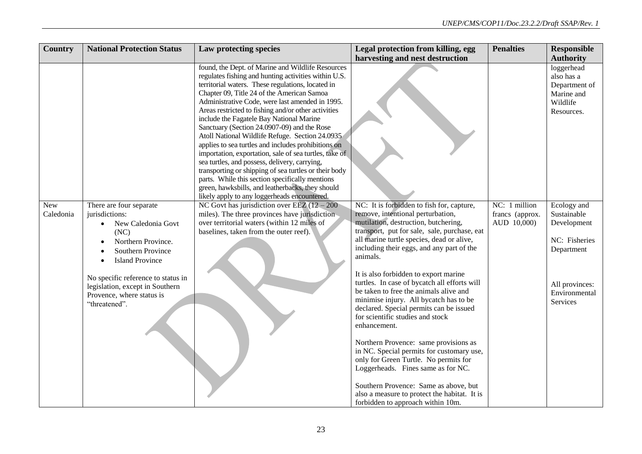| <b>Country</b>   | <b>National Protection Status</b>                                                                                                                                                                                                                                   | Law protecting species                                                                                                                                                                                                                                                                                                                                                                                                                                                                                                                                                                                                                                                                                                                                                                                 | Legal protection from killing, egg                                                                                                                                                                                                                                                                                                                                                                                                                                                                                                                                                                                                                                                                                                                                                                                                                          | <b>Penalties</b>                                | <b>Responsible</b>                                                                                                      |
|------------------|---------------------------------------------------------------------------------------------------------------------------------------------------------------------------------------------------------------------------------------------------------------------|--------------------------------------------------------------------------------------------------------------------------------------------------------------------------------------------------------------------------------------------------------------------------------------------------------------------------------------------------------------------------------------------------------------------------------------------------------------------------------------------------------------------------------------------------------------------------------------------------------------------------------------------------------------------------------------------------------------------------------------------------------------------------------------------------------|-------------------------------------------------------------------------------------------------------------------------------------------------------------------------------------------------------------------------------------------------------------------------------------------------------------------------------------------------------------------------------------------------------------------------------------------------------------------------------------------------------------------------------------------------------------------------------------------------------------------------------------------------------------------------------------------------------------------------------------------------------------------------------------------------------------------------------------------------------------|-------------------------------------------------|-------------------------------------------------------------------------------------------------------------------------|
|                  |                                                                                                                                                                                                                                                                     |                                                                                                                                                                                                                                                                                                                                                                                                                                                                                                                                                                                                                                                                                                                                                                                                        | harvesting and nest destruction                                                                                                                                                                                                                                                                                                                                                                                                                                                                                                                                                                                                                                                                                                                                                                                                                             |                                                 | <b>Authority</b>                                                                                                        |
|                  |                                                                                                                                                                                                                                                                     | found, the Dept. of Marine and Wildlife Resources<br>regulates fishing and hunting activities within U.S.<br>territorial waters. These regulations, located in<br>Chapter 09, Title 24 of the American Samoa<br>Administrative Code, were last amended in 1995.<br>Areas restricted to fishing and/or other activities<br>include the Fagatele Bay National Marine<br>Sanctuary (Section 24.0907-09) and the Rose<br>Atoll National Wildlife Refuge. Section 24.0935<br>applies to sea turtles and includes prohibitions on<br>importation, exportation, sale of sea turtles, take of<br>sea turtles, and possess, delivery, carrying,<br>transporting or shipping of sea turtles or their body<br>parts. While this section specifically mentions<br>green, hawksbills, and leatherbacks, they should |                                                                                                                                                                                                                                                                                                                                                                                                                                                                                                                                                                                                                                                                                                                                                                                                                                                             |                                                 | loggerhead<br>also has a<br>Department of<br>Marine and<br>Wildlife<br>Resources.                                       |
| New<br>Caledonia | There are four separate<br>jurisdictions:<br>New Caledonia Govt<br>(NC)<br>Northern Province.<br>Southern Province<br><b>Island Province</b><br>No specific reference to status in<br>legislation, except in Southern<br>Provence, where status is<br>"threatened". | likely apply to any loggerheads encountered.<br>NC Govt has jurisdiction over EEZ $(12 - 200)$<br>miles). The three provinces have jurisdiction<br>over territorial waters (within 12 miles of<br>baselines, taken from the outer reef).                                                                                                                                                                                                                                                                                                                                                                                                                                                                                                                                                               | NC: It is forbidden to fish for, capture,<br>remove, intentional perturbation,<br>mutilation, destruction, butchering,<br>transport, put for sale, sale, purchase, eat<br>all marine turtle species, dead or alive,<br>including their eggs, and any part of the<br>animals.<br>It is also forbidden to export marine<br>turtles. In case of bycatch all efforts will<br>be taken to free the animals alive and<br>minimise injury. All bycatch has to be<br>declared. Special permits can be issued<br>for scientific studies and stock<br>enhancement.<br>Northern Provence: same provisions as<br>in NC. Special permits for customary use,<br>only for Green Turtle. No permits for<br>Loggerheads. Fines same as for NC.<br>Southern Provence: Same as above, but<br>also a measure to protect the habitat. It is<br>forbidden to approach within 10m. | NC: 1 million<br>francs (approx.<br>AUD 10,000) | Ecology and<br>Sustainable<br>Development<br>NC: Fisheries<br>Department<br>All provinces:<br>Environmental<br>Services |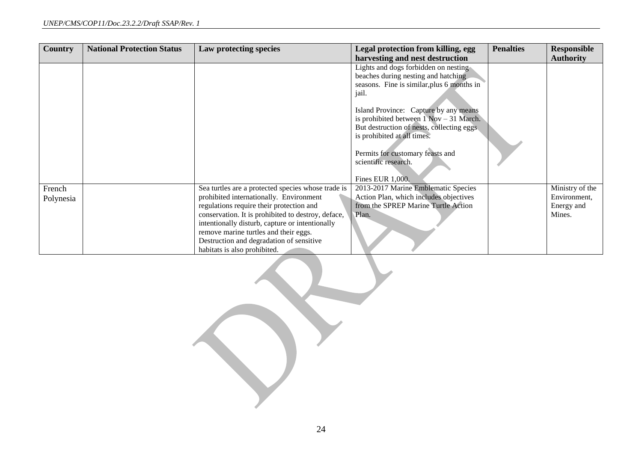| <b>Country</b>      | <b>National Protection Status</b> | Law protecting species                                                                                                                                                                                                                                                                                                                                                  | Legal protection from killing, egg                                                                                                                                                                                                                                                                                                                                                     | <b>Penalties</b> | <b>Responsible</b>                                      |
|---------------------|-----------------------------------|-------------------------------------------------------------------------------------------------------------------------------------------------------------------------------------------------------------------------------------------------------------------------------------------------------------------------------------------------------------------------|----------------------------------------------------------------------------------------------------------------------------------------------------------------------------------------------------------------------------------------------------------------------------------------------------------------------------------------------------------------------------------------|------------------|---------------------------------------------------------|
|                     |                                   |                                                                                                                                                                                                                                                                                                                                                                         | harvesting and nest destruction                                                                                                                                                                                                                                                                                                                                                        |                  | <b>Authority</b>                                        |
|                     |                                   |                                                                                                                                                                                                                                                                                                                                                                         | Lights and dogs forbidden on nesting<br>beaches during nesting and hatching<br>seasons. Fine is similar, plus 6 months in<br>jail.<br>Island Province: Capture by any means<br>is prohibited between $1$ Nov $-31$ March.<br>But destruction of nests, collecting eggs.<br>is prohibited at all times.<br>Permits for customary feasts and<br>scientific research.<br>Fines EUR 1,000. |                  |                                                         |
| French<br>Polynesia |                                   | Sea turtles are a protected species whose trade is<br>prohibited internationally. Environment<br>regulations require their protection and<br>conservation. It is prohibited to destroy, deface,<br>intentionally disturb, capture or intentionally<br>remove marine turtles and their eggs.<br>Destruction and degradation of sensitive<br>habitats is also prohibited. | 2013-2017 Marine Emblematic Species<br>Action Plan, which includes objectives<br>from the SPREP Marine Turtle Action<br>Plan.                                                                                                                                                                                                                                                          |                  | Ministry of the<br>Environment,<br>Energy and<br>Mines. |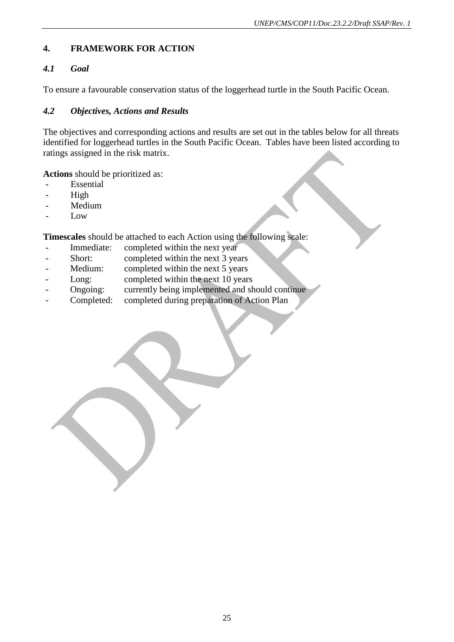### **4. FRAMEWORK FOR ACTION**

### *4.1 Goal*

To ensure a favourable conservation status of the loggerhead turtle in the South Pacific Ocean.

### *4.2 Objectives, Actions and Results*

The objectives and corresponding actions and results are set out in the tables below for all threats identified for loggerhead turtles in the South Pacific Ocean. Tables have been listed according to ratings assigned in the risk matrix.

**Actions** should be prioritized as:

- **Essential**
- High
- Medium
- Low

**Timescales** should be attached to each Action using the following scale:

- Immediate: completed within the next year
- Short: completed within the next 3 years
- Medium: completed within the next 5 years
- Long: completed within the next 10 years
- Ongoing: currently being implemented and should continue
- Completed: completed during preparation of Action Plan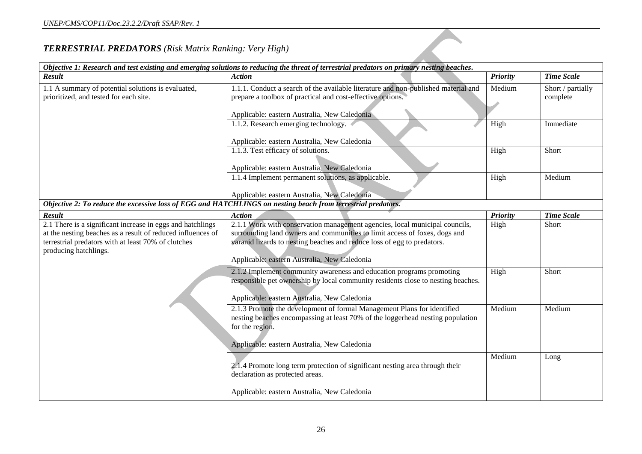### *TERRESTRIAL PREDATORS (Risk Matrix Ranking: Very High)*

|                                                                                                                                                                                                           | Objective 1: Research and test existing and emerging solutions to reducing the threat of terrestrial predators on primary nesting beaches.                                                                                                                                           |                 |                               |
|-----------------------------------------------------------------------------------------------------------------------------------------------------------------------------------------------------------|--------------------------------------------------------------------------------------------------------------------------------------------------------------------------------------------------------------------------------------------------------------------------------------|-----------------|-------------------------------|
| Result                                                                                                                                                                                                    | <b>Action</b>                                                                                                                                                                                                                                                                        | <b>Priority</b> | <b>Time Scale</b>             |
| 1.1 A summary of potential solutions is evaluated,<br>prioritized, and tested for each site.                                                                                                              | 1.1.1. Conduct a search of the available literature and non-published material and<br>prepare a toolbox of practical and cost-effective options.                                                                                                                                     | Medium          | Short / partially<br>complete |
|                                                                                                                                                                                                           | Applicable: eastern Australia, New Caledonia                                                                                                                                                                                                                                         |                 |                               |
|                                                                                                                                                                                                           | 1.1.2. Research emerging technology.                                                                                                                                                                                                                                                 | High            | Immediate                     |
|                                                                                                                                                                                                           | Applicable: eastern Australia, New Caledonia                                                                                                                                                                                                                                         |                 |                               |
|                                                                                                                                                                                                           | 1.1.3. Test efficacy of solutions.<br>Applicable: eastern Australia, New Caledonia                                                                                                                                                                                                   | High            | Short                         |
|                                                                                                                                                                                                           | 1.1.4 Implement permanent solutions, as applicable.                                                                                                                                                                                                                                  | High            | Medium                        |
| Objective 2: To reduce the excessive loss of EGG and HATCHLINGS on nesting beach from terrestrial predators.                                                                                              | Applicable: eastern Australia, New Caledonia                                                                                                                                                                                                                                         |                 |                               |
|                                                                                                                                                                                                           |                                                                                                                                                                                                                                                                                      |                 |                               |
| <b>Result</b>                                                                                                                                                                                             | <b>Action</b>                                                                                                                                                                                                                                                                        | <b>Priority</b> | <b>Time Scale</b>             |
| 2.1 There is a significant increase in eggs and hatchlings<br>at the nesting beaches as a result of reduced influences of<br>terrestrial predators with at least 70% of clutches<br>producing hatchlings. | 2.1.1 Work with conservation management agencies, local municipal councils,<br>surrounding land owners and communities to limit access of foxes, dogs and<br>varanid lizards to nesting beaches and reduce loss of egg to predators.<br>Applicable: eastern Australia, New Caledonia | High            | Short                         |
|                                                                                                                                                                                                           | 2.1.2 Implement community awareness and education programs promoting<br>responsible pet ownership by local community residents close to nesting beaches.<br>Applicable: eastern Australia, New Caledonia                                                                             | High            | Short                         |
|                                                                                                                                                                                                           | 2.1.3 Promote the development of formal Management Plans for identified<br>nesting beaches encompassing at least 70% of the loggerhead nesting population<br>for the region.<br>Applicable: eastern Australia, New Caledonia                                                         | Medium          | Medium                        |
|                                                                                                                                                                                                           | 2.1.4 Promote long term protection of significant nesting area through their<br>declaration as protected areas.                                                                                                                                                                      | Medium          | Long                          |
|                                                                                                                                                                                                           | Applicable: eastern Australia, New Caledonia                                                                                                                                                                                                                                         |                 |                               |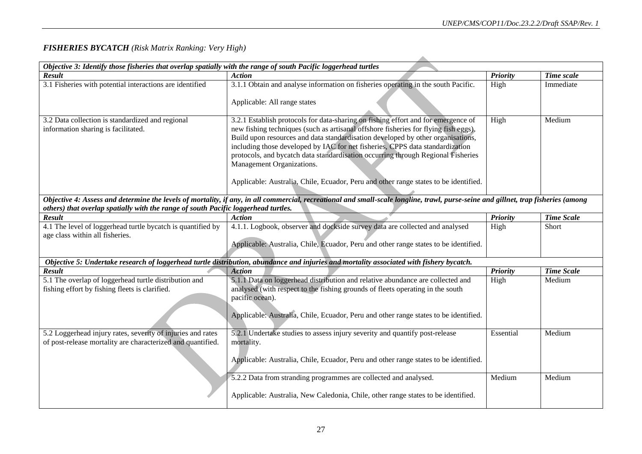### *FISHERIES BYCATCH (Risk Matrix Ranking: Very High)*

| Result                                                                                         | <b>Action</b>                                                                                                                                                                      | <b>Priority</b> | Time scale        |
|------------------------------------------------------------------------------------------------|------------------------------------------------------------------------------------------------------------------------------------------------------------------------------------|-----------------|-------------------|
| 3.1 Fisheries with potential interactions are identified                                       | 3.1.1 Obtain and analyse information on fisheries operating in the south Pacific.                                                                                                  | High            | Immediate         |
|                                                                                                | Applicable: All range states                                                                                                                                                       |                 |                   |
| 3.2 Data collection is standardized and regional                                               | 3.2.1 Establish protocols for data-sharing on fishing effort and for emergence of                                                                                                  | High            | Medium            |
| information sharing is facilitated.                                                            | new fishing techniques (such as artisanal offshore fisheries for flying fish eggs).<br>Build upon resources and data standardisation developed by other organisations,             |                 |                   |
|                                                                                                | including those developed by IAC for net fisheries, CPPS data standardization                                                                                                      |                 |                   |
|                                                                                                | protocols, and bycatch data standardisation occurring through Regional Fisheries                                                                                                   |                 |                   |
|                                                                                                | Management Organizations.                                                                                                                                                          |                 |                   |
|                                                                                                | Applicable: Australia, Chile, Ecuador, Peru and other range states to be identified.                                                                                               |                 |                   |
|                                                                                                | Objective 4: Assess and determine the levels of mortality, if any, in all commercial, recreational and small-scale longline, trawl, purse-seine and gillnet, trap fisheries (among |                 |                   |
| others) that overlap spatially with the range of south Pacific loggerhead turtles.             |                                                                                                                                                                                    |                 |                   |
| <b>Result</b>                                                                                  | <b>Action</b>                                                                                                                                                                      | <b>Priority</b> | <b>Time Scale</b> |
| 4.1 The level of loggerhead turtle bycatch is quantified by<br>age class within all fisheries. | 4.1.1. Logbook, observer and dockside survey data are collected and analysed                                                                                                       | High            | Short             |
|                                                                                                | Applicable: Australia, Chile, Ecuador, Peru and other range states to be identified.                                                                                               |                 |                   |
|                                                                                                | Objective 5: Undertake research of loggerhead turtle distribution, abundance and injuries and mortality associated with fishery bycatch.                                           |                 |                   |
| <b>Result</b>                                                                                  | <b>Action</b>                                                                                                                                                                      | <b>Priority</b> | <b>Time Scale</b> |
| 5.1 The overlap of loggerhead turtle distribution and                                          | 5.1.1 Data on loggerhead distribution and relative abundance are collected and                                                                                                     | High            | Medium            |
| fishing effort by fishing fleets is clarified.                                                 | analysed (with respect to the fishing grounds of fleets operating in the south                                                                                                     |                 |                   |
|                                                                                                | pacific ocean).                                                                                                                                                                    |                 |                   |
|                                                                                                |                                                                                                                                                                                    |                 |                   |
|                                                                                                | Applicable: Australia, Chile, Ecuador, Peru and other range states to be identified.                                                                                               |                 |                   |
| 5.2 Loggerhead injury rates, severity of injuries and rates                                    | 5.2.1 Undertake studies to assess injury severity and quantify post-release                                                                                                        | Essential       | Medium            |
| of post-release mortality are characterized and quantified.                                    | mortality.                                                                                                                                                                         |                 |                   |
|                                                                                                |                                                                                                                                                                                    |                 |                   |
|                                                                                                | Applicable: Australia, Chile, Ecuador, Peru and other range states to be identified.                                                                                               |                 |                   |
|                                                                                                | 5.2.2 Data from stranding programmes are collected and analysed.                                                                                                                   | Medium          | Medium            |
|                                                                                                | Applicable: Australia, New Caledonia, Chile, other range states to be identified.                                                                                                  |                 |                   |
|                                                                                                |                                                                                                                                                                                    |                 |                   |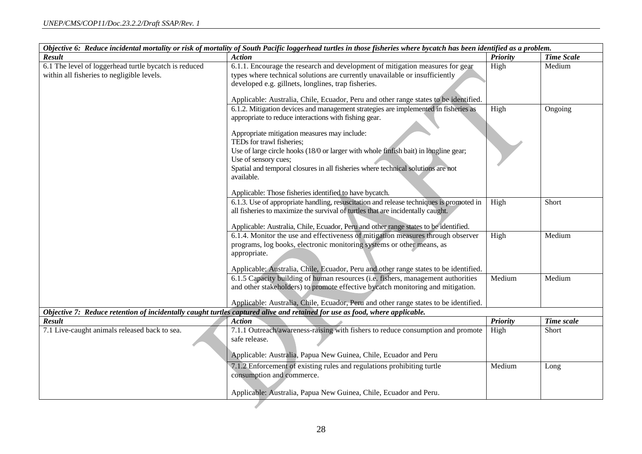| Result<br><b>Priority</b><br><b>Time Scale</b><br><b>Action</b><br>6.1 The level of loggerhead turtle bycatch is reduced<br>6.1.1. Encourage the research and development of mitigation measures for gear<br>High<br>Medium<br>types where technical solutions are currently unavailable or insufficiently<br>within all fisheries to negligible levels.<br>developed e.g. gillnets, longlines, trap fisheries.<br>Applicable: Australia, Chile, Ecuador, Peru and other range states to be identified.<br>6.1.2. Mitigation devices and management strategies are implemented in fisheries as<br>High<br>Ongoing<br>appropriate to reduce interactions with fishing gear.<br>Appropriate mitigation measures may include:<br>TEDs for trawl fisheries;<br>Use of large circle hooks (18/0 or larger with whole finfish bait) in longline gear;<br>Use of sensory cues;<br>Spatial and temporal closures in all fisheries where technical solutions are not<br>available.<br>Applicable: Those fisheries identified to have bycatch.<br>6.1.3. Use of appropriate handling, resuscitation and release techniques is promoted in<br>High<br>Short<br>all fisheries to maximize the survival of turtles that are incidentally caught.<br>Applicable: Australia, Chile, Ecuador, Peru and other range states to be identified.<br>6.1.4. Monitor the use and effectiveness of mitigation measures through observer<br>Medium<br>High<br>programs, log books, electronic monitoring systems or other means, as<br>appropriate.<br>Applicable: Australia, Chile, Ecuador, Peru and other range states to be identified.<br>6.1.5 Capacity building of human resources (i.e. fishers, management authorities<br>Medium<br>Medium<br>and other stakeholders) to promote effective bycatch monitoring and mitigation.<br>Applicable: Australia, Chile, Ecuador, Peru and other range states to be identified.<br>Objective 7: Reduce retention of incidentally caught turtles captured alive and retained for use as food, where applicable.<br><b>Result</b><br><b>Action</b><br><b>Priority</b><br>Time scale<br>7.1 Live-caught animals released back to sea.<br>7.1.1 Outreach/awareness-raising with fishers to reduce consumption and promote<br>High<br>Short<br>safe release.<br>Applicable: Australia, Papua New Guinea, Chile, Ecuador and Peru<br>7.1.2 Enforcement of existing rules and regulations prohibiting turtle<br>Medium<br>Long<br>consumption and commerce.<br>Applicable: Australia, Papua New Guinea, Chile, Ecuador and Peru. | Objective 6: Reduce incidental mortality or risk of mortality of South Pacific loggerhead turtles in those fisheries where bycatch has been identified as a problem. |  |
|-------------------------------------------------------------------------------------------------------------------------------------------------------------------------------------------------------------------------------------------------------------------------------------------------------------------------------------------------------------------------------------------------------------------------------------------------------------------------------------------------------------------------------------------------------------------------------------------------------------------------------------------------------------------------------------------------------------------------------------------------------------------------------------------------------------------------------------------------------------------------------------------------------------------------------------------------------------------------------------------------------------------------------------------------------------------------------------------------------------------------------------------------------------------------------------------------------------------------------------------------------------------------------------------------------------------------------------------------------------------------------------------------------------------------------------------------------------------------------------------------------------------------------------------------------------------------------------------------------------------------------------------------------------------------------------------------------------------------------------------------------------------------------------------------------------------------------------------------------------------------------------------------------------------------------------------------------------------------------------------------------------------------------------------------------------------------------------------------------------------------------------------------------------------------------------------------------------------------------------------------------------------------------------------------------------------------------------------------------------------------------------------------------------------------------------------------------------------------------------------------------------------------------------------------|----------------------------------------------------------------------------------------------------------------------------------------------------------------------|--|
|                                                                                                                                                                                                                                                                                                                                                                                                                                                                                                                                                                                                                                                                                                                                                                                                                                                                                                                                                                                                                                                                                                                                                                                                                                                                                                                                                                                                                                                                                                                                                                                                                                                                                                                                                                                                                                                                                                                                                                                                                                                                                                                                                                                                                                                                                                                                                                                                                                                                                                                                                 |                                                                                                                                                                      |  |
|                                                                                                                                                                                                                                                                                                                                                                                                                                                                                                                                                                                                                                                                                                                                                                                                                                                                                                                                                                                                                                                                                                                                                                                                                                                                                                                                                                                                                                                                                                                                                                                                                                                                                                                                                                                                                                                                                                                                                                                                                                                                                                                                                                                                                                                                                                                                                                                                                                                                                                                                                 |                                                                                                                                                                      |  |
|                                                                                                                                                                                                                                                                                                                                                                                                                                                                                                                                                                                                                                                                                                                                                                                                                                                                                                                                                                                                                                                                                                                                                                                                                                                                                                                                                                                                                                                                                                                                                                                                                                                                                                                                                                                                                                                                                                                                                                                                                                                                                                                                                                                                                                                                                                                                                                                                                                                                                                                                                 |                                                                                                                                                                      |  |
|                                                                                                                                                                                                                                                                                                                                                                                                                                                                                                                                                                                                                                                                                                                                                                                                                                                                                                                                                                                                                                                                                                                                                                                                                                                                                                                                                                                                                                                                                                                                                                                                                                                                                                                                                                                                                                                                                                                                                                                                                                                                                                                                                                                                                                                                                                                                                                                                                                                                                                                                                 |                                                                                                                                                                      |  |
|                                                                                                                                                                                                                                                                                                                                                                                                                                                                                                                                                                                                                                                                                                                                                                                                                                                                                                                                                                                                                                                                                                                                                                                                                                                                                                                                                                                                                                                                                                                                                                                                                                                                                                                                                                                                                                                                                                                                                                                                                                                                                                                                                                                                                                                                                                                                                                                                                                                                                                                                                 |                                                                                                                                                                      |  |
|                                                                                                                                                                                                                                                                                                                                                                                                                                                                                                                                                                                                                                                                                                                                                                                                                                                                                                                                                                                                                                                                                                                                                                                                                                                                                                                                                                                                                                                                                                                                                                                                                                                                                                                                                                                                                                                                                                                                                                                                                                                                                                                                                                                                                                                                                                                                                                                                                                                                                                                                                 |                                                                                                                                                                      |  |
|                                                                                                                                                                                                                                                                                                                                                                                                                                                                                                                                                                                                                                                                                                                                                                                                                                                                                                                                                                                                                                                                                                                                                                                                                                                                                                                                                                                                                                                                                                                                                                                                                                                                                                                                                                                                                                                                                                                                                                                                                                                                                                                                                                                                                                                                                                                                                                                                                                                                                                                                                 |                                                                                                                                                                      |  |
|                                                                                                                                                                                                                                                                                                                                                                                                                                                                                                                                                                                                                                                                                                                                                                                                                                                                                                                                                                                                                                                                                                                                                                                                                                                                                                                                                                                                                                                                                                                                                                                                                                                                                                                                                                                                                                                                                                                                                                                                                                                                                                                                                                                                                                                                                                                                                                                                                                                                                                                                                 |                                                                                                                                                                      |  |
|                                                                                                                                                                                                                                                                                                                                                                                                                                                                                                                                                                                                                                                                                                                                                                                                                                                                                                                                                                                                                                                                                                                                                                                                                                                                                                                                                                                                                                                                                                                                                                                                                                                                                                                                                                                                                                                                                                                                                                                                                                                                                                                                                                                                                                                                                                                                                                                                                                                                                                                                                 |                                                                                                                                                                      |  |
|                                                                                                                                                                                                                                                                                                                                                                                                                                                                                                                                                                                                                                                                                                                                                                                                                                                                                                                                                                                                                                                                                                                                                                                                                                                                                                                                                                                                                                                                                                                                                                                                                                                                                                                                                                                                                                                                                                                                                                                                                                                                                                                                                                                                                                                                                                                                                                                                                                                                                                                                                 |                                                                                                                                                                      |  |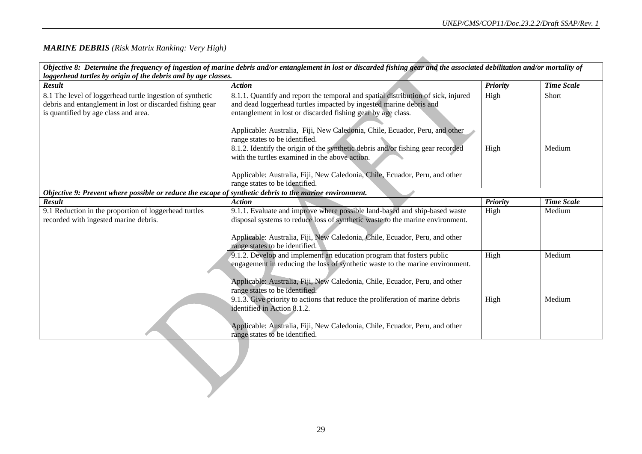### *MARINE DEBRIS (Risk Matrix Ranking: Very High)*

|                                                                                                         | Objective 8: Determine the frequency of ingestion of marine debris and/or entanglement in lost or discarded fishing gear and the associated debilitation and/or mortality of |                 |                   |
|---------------------------------------------------------------------------------------------------------|------------------------------------------------------------------------------------------------------------------------------------------------------------------------------|-----------------|-------------------|
| loggerhead turtles by origin of the debris and by age classes.<br><b>Result</b>                         | <b>Action</b>                                                                                                                                                                |                 | <b>Time Scale</b> |
|                                                                                                         |                                                                                                                                                                              | <b>Priority</b> |                   |
| 8.1 The level of loggerhead turtle ingestion of synthetic                                               | 8.1.1. Quantify and report the temporal and spatial distribution of sick, injured                                                                                            | High            | Short             |
| debris and entanglement in lost or discarded fishing gear<br>is quantified by age class and area.       | and dead loggerhead turtles impacted by ingested marine debris and<br>entanglement in lost or discarded fishing gear by age class.                                           |                 |                   |
|                                                                                                         |                                                                                                                                                                              |                 |                   |
|                                                                                                         | Applicable: Australia, Fiji, New Caledonia, Chile, Ecuador, Peru, and other                                                                                                  |                 |                   |
|                                                                                                         | range states to be identified.                                                                                                                                               |                 |                   |
|                                                                                                         | 8.1.2. Identify the origin of the synthetic debris and/or fishing gear recorded                                                                                              | High            | Medium            |
|                                                                                                         | with the turtles examined in the above action.                                                                                                                               |                 |                   |
|                                                                                                         |                                                                                                                                                                              |                 |                   |
|                                                                                                         | Applicable: Australia, Fiji, New Caledonia, Chile, Ecuador, Peru, and other                                                                                                  |                 |                   |
|                                                                                                         | range states to be identified.                                                                                                                                               |                 |                   |
| Objective 9: Prevent where possible or reduce the escape of synthetic debris to the marine environment. |                                                                                                                                                                              |                 |                   |
| Result                                                                                                  | <b>Action</b>                                                                                                                                                                | Priority        | <b>Time Scale</b> |
| 9.1 Reduction in the proportion of loggerhead turtles                                                   | 9.1.1. Evaluate and improve where possible land-based and ship-based waste                                                                                                   | High            | Medium            |
| recorded with ingested marine debris.                                                                   | disposal systems to reduce loss of synthetic waste to the marine environment.                                                                                                |                 |                   |
|                                                                                                         |                                                                                                                                                                              |                 |                   |
|                                                                                                         | Applicable: Australia, Fiji, New Caledonia, Chile, Ecuador, Peru, and other<br>range states to be identified.                                                                |                 |                   |
|                                                                                                         | 9.1.2. Develop and implement an education program that fosters public                                                                                                        | High            | Medium            |
|                                                                                                         | engagement in reducing the loss of synthetic waste to the marine environment.                                                                                                |                 |                   |
|                                                                                                         |                                                                                                                                                                              |                 |                   |
|                                                                                                         | Applicable: Australia, Fiji, New Caledonia, Chile, Ecuador, Peru, and other                                                                                                  |                 |                   |
|                                                                                                         | range states to be identified.                                                                                                                                               |                 |                   |
|                                                                                                         | 9.1.3. Give priority to actions that reduce the proliferation of marine debris                                                                                               | High            | Medium            |
|                                                                                                         | identified in Action 8.1.2.                                                                                                                                                  |                 |                   |
|                                                                                                         |                                                                                                                                                                              |                 |                   |
|                                                                                                         | Applicable: Australia, Fiji, New Caledonia, Chile, Ecuador, Peru, and other                                                                                                  |                 |                   |
|                                                                                                         | range states to be identified.                                                                                                                                               |                 |                   |
|                                                                                                         |                                                                                                                                                                              |                 |                   |
|                                                                                                         |                                                                                                                                                                              |                 |                   |
|                                                                                                         |                                                                                                                                                                              |                 |                   |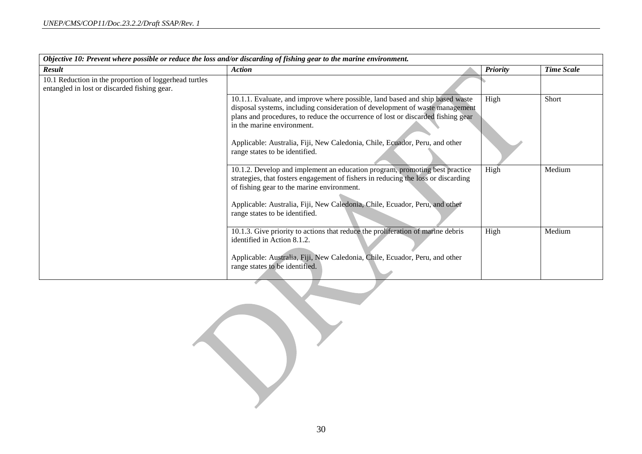| Objective 10: Prevent where possible or reduce the loss and/or discarding of fishing gear to the marine environment. |                                                                                                                                                                                                                                                                                                                                                                                                  |                 |                   |
|----------------------------------------------------------------------------------------------------------------------|--------------------------------------------------------------------------------------------------------------------------------------------------------------------------------------------------------------------------------------------------------------------------------------------------------------------------------------------------------------------------------------------------|-----------------|-------------------|
| <b>Result</b>                                                                                                        | <b>Action</b>                                                                                                                                                                                                                                                                                                                                                                                    | <b>Priority</b> | <b>Time Scale</b> |
| 10.1 Reduction in the proportion of loggerhead turtles<br>entangled in lost or discarded fishing gear.               |                                                                                                                                                                                                                                                                                                                                                                                                  |                 |                   |
|                                                                                                                      | 10.1.1. Evaluate, and improve where possible, land based and ship based waste<br>disposal systems, including consideration of development of waste management<br>plans and procedures, to reduce the occurrence of lost or discarded fishing gear<br>in the marine environment.<br>Applicable: Australia, Fiji, New Caledonia, Chile, Ecuador, Peru, and other<br>range states to be identified. | High            | Short             |
|                                                                                                                      | 10.1.2. Develop and implement an education program, promoting best practice<br>strategies, that fosters engagement of fishers in reducing the loss or discarding<br>of fishing gear to the marine environment.<br>Applicable: Australia, Fiji, New Caledonia, Chile, Ecuador, Peru, and other<br>range states to be identified.                                                                  | High            | Medium            |
|                                                                                                                      | 10.1.3. Give priority to actions that reduce the proliferation of marine debris<br>identified in Action 8.1.2.<br>Applicable: Australia, Fiji, New Caledonia, Chile, Ecuador, Peru, and other<br>range states to be identified.                                                                                                                                                                  | High            | Medium            |

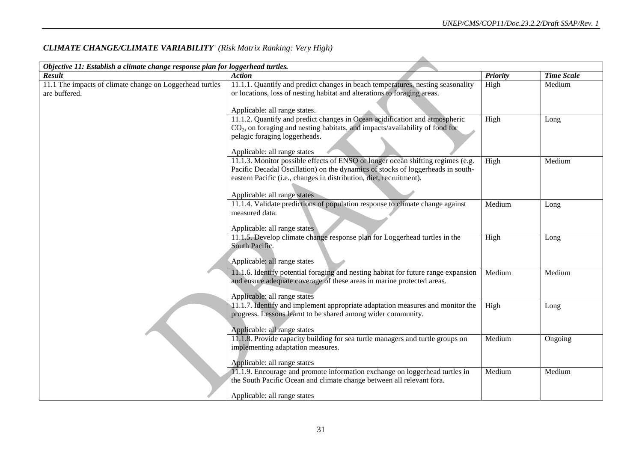| Objective 11: Establish a climate change response plan for loggerhead turtles. |                                                                                                                                                                                                                |                 |                   |
|--------------------------------------------------------------------------------|----------------------------------------------------------------------------------------------------------------------------------------------------------------------------------------------------------------|-----------------|-------------------|
| <b>Result</b>                                                                  | <b>Action</b>                                                                                                                                                                                                  | <b>Priority</b> | <b>Time Scale</b> |
| 11.1 The impacts of climate change on Loggerhead turtles<br>are buffered.      | 11.1.1. Quantify and predict changes in beach temperatures, nesting seasonality<br>or locations, loss of nesting habitat and alterations to foraging areas.                                                    | High            | Medium            |
|                                                                                | Applicable: all range states.                                                                                                                                                                                  |                 |                   |
|                                                                                | 11.1.2. Quantify and predict changes in Ocean acidification and atmospheric<br>$CO2$ , on foraging and nesting habitats, and impacts/availability of food for<br>pelagic foraging loggerheads.                 | High            | Long              |
|                                                                                | Applicable: all range states<br>11.1.3. Monitor possible effects of ENSO or longer ocean shifting regimes (e.g.                                                                                                | High            | Medium            |
|                                                                                | Pacific Decadal Oscillation) on the dynamics of stocks of loggerheads in south-<br>eastern Pacific (i.e., changes in distribution, diet, recruitment).                                                         |                 |                   |
|                                                                                | Applicable: all range states                                                                                                                                                                                   |                 |                   |
|                                                                                | 11.1.4. Validate predictions of population response to climate change against<br>measured data.                                                                                                                | Medium          | Long              |
|                                                                                | Applicable: all range states                                                                                                                                                                                   |                 |                   |
|                                                                                | 11.1.5. Develop climate change response plan for Loggerhead turtles in the<br>South Pacific.<br>Applicable: all range states                                                                                   | High            | Long              |
|                                                                                | 11.1.6. Identify potential foraging and nesting habitat for future range expansion<br>and ensure adequate coverage of these areas in marine protected areas.                                                   | Medium          | Medium            |
|                                                                                | Applicable: all range states<br>11.1.7. Identify and implement appropriate adaptation measures and monitor the<br>progress. Lessons learnt to be shared among wider community.<br>Applicable: all range states | High            | Long              |
|                                                                                | 11.1.8. Provide capacity building for sea turtle managers and turtle groups on<br>implementing adaptation measures.<br>Applicable: all range states                                                            | Medium          | Ongoing           |
|                                                                                | 11.1.9. Encourage and promote information exchange on loggerhead turtles in<br>the South Pacific Ocean and climate change between all relevant fora.<br>Applicable: all range states                           | Medium          | Medium            |
|                                                                                |                                                                                                                                                                                                                |                 |                   |

### *CLIMATE CHANGE/CLIMATE VARIABILITY (Risk Matrix Ranking: Very High)*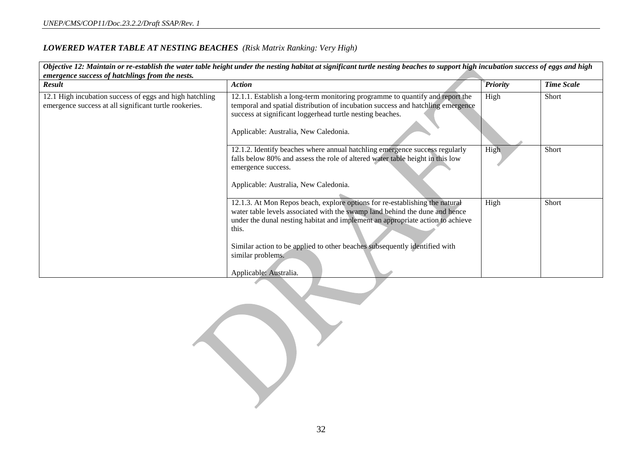### *LOWERED WATER TABLE AT NESTING BEACHES (Risk Matrix Ranking: Very High)*

| emergence success of hatchlings from the nests.                                                                   | Objective 12: Maintain or re-establish the water table height under the nesting habitat at significant turtle nesting beaches to support high incubation success of eggs and high                                                                                                                                                                                                  |                 |                   |
|-------------------------------------------------------------------------------------------------------------------|------------------------------------------------------------------------------------------------------------------------------------------------------------------------------------------------------------------------------------------------------------------------------------------------------------------------------------------------------------------------------------|-----------------|-------------------|
| Result                                                                                                            | <b>Action</b>                                                                                                                                                                                                                                                                                                                                                                      | <b>Priority</b> | <b>Time Scale</b> |
| 12.1 High incubation success of eggs and high hatchling<br>emergence success at all significant turtle rookeries. | 12.1.1. Establish a long-term monitoring programme to quantify and report the<br>temporal and spatial distribution of incubation success and hatchling emergence<br>success at significant loggerhead turtle nesting beaches.<br>Applicable: Australia, New Caledonia.                                                                                                             | High            | Short             |
|                                                                                                                   | 12.1.2. Identify beaches where annual hatchling emergence success regularly<br>falls below 80% and assess the role of altered water table height in this low<br>emergence success.<br>Applicable: Australia, New Caledonia.                                                                                                                                                        | High            | <b>Short</b>      |
|                                                                                                                   | 12.1.3. At Mon Repos beach, explore options for re-establishing the natural<br>water table levels associated with the swamp land behind the dune and hence<br>under the dunal nesting habitat and implement an appropriate action to achieve<br>this.<br>Similar action to be applied to other beaches subsequently identified with<br>similar problems.<br>Applicable: Australia. | High            | Short             |

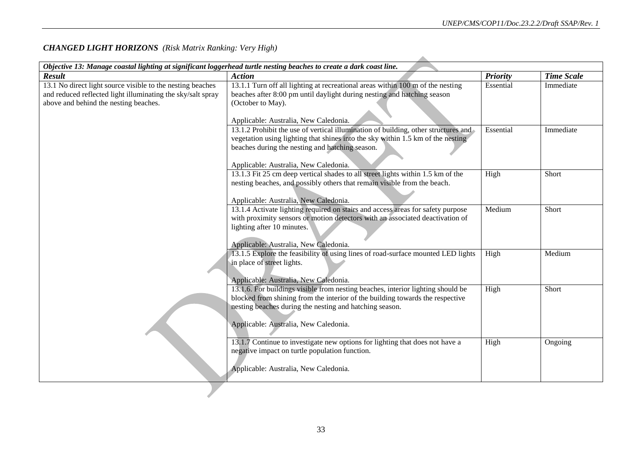| Objective 13: Manage coastal lighting at significant loggerhead turtle nesting beaches to create a dark coast line. |                                                                                                                          |                 |                   |
|---------------------------------------------------------------------------------------------------------------------|--------------------------------------------------------------------------------------------------------------------------|-----------------|-------------------|
| <b>Result</b>                                                                                                       | <b>Action</b>                                                                                                            | <b>Priority</b> | <b>Time Scale</b> |
| 13.1 No direct light source visible to the nesting beaches                                                          | 13.1.1 Turn off all lighting at recreational areas within 100 m of the nesting                                           | Essential       | Immediate         |
| and reduced reflected light illuminating the sky/salt spray                                                         | beaches after 8:00 pm until daylight during nesting and hatching season                                                  |                 |                   |
| above and behind the nesting beaches.                                                                               | (October to May).                                                                                                        |                 |                   |
|                                                                                                                     |                                                                                                                          |                 |                   |
|                                                                                                                     | Applicable: Australia, New Caledonia.                                                                                    |                 |                   |
|                                                                                                                     | 13.1.2 Prohibit the use of vertical illumination of building, other structures and                                       | Essential       | Immediate         |
|                                                                                                                     | vegetation using lighting that shines into the sky within 1.5 km of the nesting                                          |                 |                   |
|                                                                                                                     | beaches during the nesting and hatching season.                                                                          |                 |                   |
|                                                                                                                     |                                                                                                                          |                 |                   |
|                                                                                                                     | Applicable: Australia, New Caledonia.                                                                                    |                 |                   |
|                                                                                                                     | 13.1.3 Fit 25 cm deep vertical shades to all street lights within 1.5 km of the                                          | High            | Short             |
|                                                                                                                     | nesting beaches, and possibly others that remain visible from the beach.                                                 |                 |                   |
|                                                                                                                     |                                                                                                                          |                 |                   |
|                                                                                                                     | Applicable: Australia, New Caledonia.                                                                                    |                 |                   |
|                                                                                                                     | 13.1.4 Activate lighting required on stairs and access areas for safety purpose                                          | Medium          | Short             |
|                                                                                                                     | with proximity sensors or motion detectors with an associated deactivation of                                            |                 |                   |
|                                                                                                                     | lighting after 10 minutes.                                                                                               |                 |                   |
|                                                                                                                     |                                                                                                                          |                 |                   |
|                                                                                                                     | Applicable: Australia, New Caledonia.                                                                                    |                 |                   |
|                                                                                                                     | 13.1.5 Explore the feasibility of using lines of road-surface mounted LED lights                                         | High            | Medium            |
|                                                                                                                     | in place of street lights.                                                                                               |                 |                   |
|                                                                                                                     |                                                                                                                          |                 |                   |
|                                                                                                                     | Applicable: Australia, New Caledonia.<br>13.1.6. For buildings visible from nesting beaches, interior lighting should be | High            | Short             |
|                                                                                                                     | blocked from shining from the interior of the building towards the respective                                            |                 |                   |
|                                                                                                                     | nesting beaches during the nesting and hatching season.                                                                  |                 |                   |
|                                                                                                                     |                                                                                                                          |                 |                   |
|                                                                                                                     | Applicable: Australia, New Caledonia.                                                                                    |                 |                   |
|                                                                                                                     |                                                                                                                          |                 |                   |
|                                                                                                                     | 13.1.7 Continue to investigate new options for lighting that does not have a                                             | High            | Ongoing           |
|                                                                                                                     | negative impact on turtle population function.                                                                           |                 |                   |
|                                                                                                                     |                                                                                                                          |                 |                   |
|                                                                                                                     | Applicable: Australia, New Caledonia.                                                                                    |                 |                   |
|                                                                                                                     |                                                                                                                          |                 |                   |
|                                                                                                                     |                                                                                                                          |                 |                   |
|                                                                                                                     |                                                                                                                          |                 |                   |

### *CHANGED LIGHT HORIZONS (Risk Matrix Ranking: Very High)*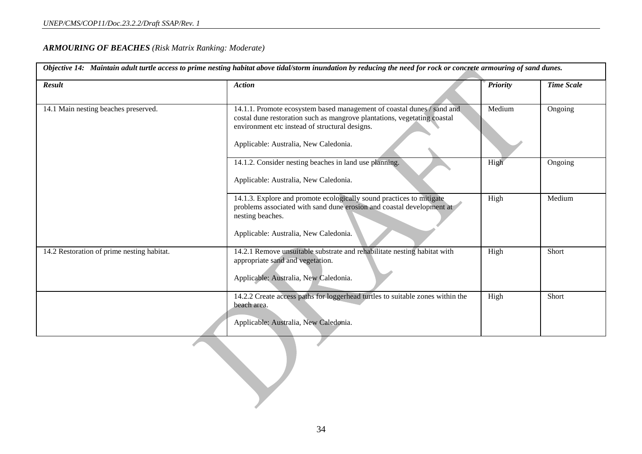### *ARMOURING OF BEACHES (Risk Matrix Ranking: Moderate)*

| Result                                     | <b>Action</b>                                                                                                                                                                                        | <b>Priority</b> | <b>Time Scale</b> |
|--------------------------------------------|------------------------------------------------------------------------------------------------------------------------------------------------------------------------------------------------------|-----------------|-------------------|
| 14.1 Main nesting beaches preserved.       | 14.1.1. Promote ecosystem based management of coastal dunes / sand and<br>costal dune restoration such as mangrove plantations, vegetating coastal<br>environment etc instead of structural designs. | Medium          | Ongoing           |
|                                            | Applicable: Australia, New Caledonia.                                                                                                                                                                |                 |                   |
|                                            | 14.1.2. Consider nesting beaches in land use planning.<br>Applicable: Australia, New Caledonia.                                                                                                      | High            | Ongoing           |
|                                            | 14.1.3. Explore and promote ecologically sound practices to mitigate<br>problems associated with sand dune erosion and coastal development at<br>nesting beaches.                                    | High            | Medium            |
|                                            | Applicable: Australia, New Caledonia.                                                                                                                                                                |                 |                   |
| 14.2 Restoration of prime nesting habitat. | 14.2.1 Remove unsuitable substrate and rehabilitate nesting habitat with<br>appropriate sand and vegetation.<br>Applicable: Australia, New Caledonia.                                                | High            | Short             |
|                                            | 14.2.2 Create access paths for loggerhead turtles to suitable zones within the<br>beach area.                                                                                                        | High            | Short             |
|                                            | Applicable: Australia, New Caledonia.                                                                                                                                                                |                 |                   |
|                                            |                                                                                                                                                                                                      |                 |                   |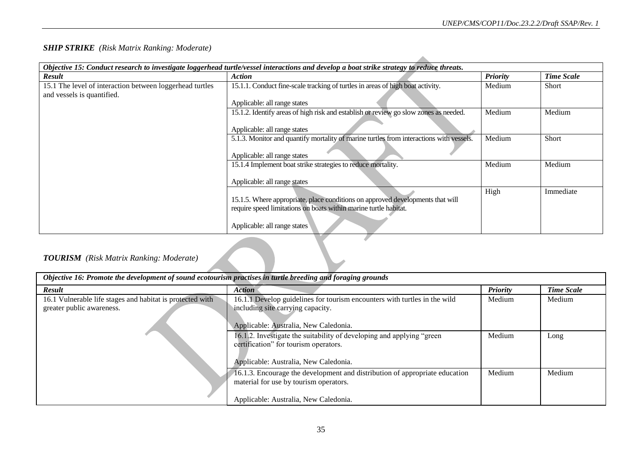#### *SHIP STRIKE (Risk Matrix Ranking: Moderate)*

| <b>Result</b>                                                                          | Objective 15: Conduct research to investigate loggerhead turtle/vessel interactions and develop a boat strike strategy to reduce threats.<br>Action | <b>Priority</b> | <b>Time Scale</b> |
|----------------------------------------------------------------------------------------|-----------------------------------------------------------------------------------------------------------------------------------------------------|-----------------|-------------------|
| 15.1 The level of interaction between loggerhead turtles<br>and vessels is quantified. | 15.1.1. Conduct fine-scale tracking of turtles in areas of high boat activity.                                                                      | Medium          | Short             |
|                                                                                        | Applicable: all range states                                                                                                                        |                 |                   |
|                                                                                        | 15.1.2. Identify areas of high risk and establish or review go slow zones as needed.<br>Applicable: all range states                                | Medium          | Medium            |
|                                                                                        | 5.1.3. Monitor and quantify mortality of marine turtles from interactions with vessels.<br>Applicable: all range states                             | Medium          | Short             |
|                                                                                        | 15.1.4 Implement boat strike strategies to reduce mortality.<br>Applicable: all range states                                                        | Medium          | Medium            |
|                                                                                        | 15.1.5. Where appropriate, place conditions on approved developments that will<br>require speed limitations on boats within marine turtle habitat.  | High            | Immediate         |
|                                                                                        | Applicable: all range states                                                                                                                        |                 |                   |
| <b>TOURISM</b> (Risk Matrix Ranking: Moderate)                                         |                                                                                                                                                     |                 |                   |

# *TOURISM (Risk Matrix Ranking: Moderate)*

| Objective 16: Promote the development of sound ecotourism practises in turtle breeding and foraging grounds |                                                                                                                                                                |                 |                   |
|-------------------------------------------------------------------------------------------------------------|----------------------------------------------------------------------------------------------------------------------------------------------------------------|-----------------|-------------------|
| <b>Result</b>                                                                                               | <b>Action</b>                                                                                                                                                  | <b>Priority</b> | <b>Time Scale</b> |
| 16.1 Vulnerable life stages and habitat is protected with<br>greater public awareness.                      | 16.1.1 Develop guidelines for tourism encounters with turtles in the wild<br>including site carrying capacity.<br>Applicable: Australia, New Caledonia.        | Medium          | Medium            |
|                                                                                                             | 16.1.2. Investigate the suitability of developing and applying "green"<br>certification" for tourism operators.<br>Applicable: Australia, New Caledonia.       | Medium          | Long              |
|                                                                                                             | 16.1.3. Encourage the development and distribution of appropriate education<br>material for use by tourism operators.<br>Applicable: Australia, New Caledonia. | Medium          | Medium            |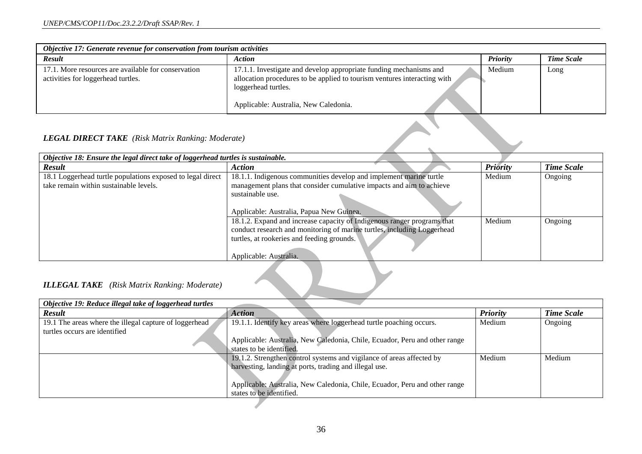| Objective 17: Generate revenue for conservation from tourism activities                   |                                                                                                                                                                                                                |                 |                   |  |
|-------------------------------------------------------------------------------------------|----------------------------------------------------------------------------------------------------------------------------------------------------------------------------------------------------------------|-----------------|-------------------|--|
| <b>Result</b>                                                                             | <b>Action</b>                                                                                                                                                                                                  | <b>Priority</b> | <b>Time Scale</b> |  |
| 17.1. More resources are available for conservation<br>activities for loggerhead turtles. | 17.1.1. Investigate and develop appropriate funding mechanisms and<br>allocation procedures to be applied to tourism ventures interacting with<br>loggerhead turtles.<br>Applicable: Australia, New Caledonia. | Medium          | Long              |  |

### *LEGAL DIRECT TAKE (Risk Matrix Ranking: Moderate)*

| Objective 18: Ensure the legal direct take of loggerhead turtles is sustainable. |                                                                         |          |                   |
|----------------------------------------------------------------------------------|-------------------------------------------------------------------------|----------|-------------------|
| <b>Result</b>                                                                    | <b>Action</b>                                                           | Priority | <b>Time Scale</b> |
| 18.1 Loggerhead turtle populations exposed to legal direct                       | 18.1.1. Indigenous communities develop and implement marine turtle      | Medium   | Ongoing           |
| take remain within sustainable levels.                                           | management plans that consider cumulative impacts and aim to achieve    |          |                   |
|                                                                                  | sustainable use.                                                        |          |                   |
|                                                                                  | Applicable: Australia, Papua New Guinea.                                |          |                   |
|                                                                                  | 18.1.2. Expand and increase capacity of Indigenous ranger programs that | Medium   | Ongoing           |
|                                                                                  | conduct research and monitoring of marine turtles, including Loggerhead |          |                   |
|                                                                                  | turtles, at rookeries and feeding grounds.                              |          |                   |
|                                                                                  | Applicable: Australia.                                                  |          |                   |

### *ILLEGAL TAKE (Risk Matrix Ranking: Moderate)*

| Objective 19: Reduce illegal take of loggerhead turtles |                                                                            |                 |                   |
|---------------------------------------------------------|----------------------------------------------------------------------------|-----------------|-------------------|
| <b>Result</b>                                           | <b>Action</b>                                                              | <b>Priority</b> | <b>Time Scale</b> |
| 19.1 The areas where the illegal capture of loggerhead  | 19.1.1. Identify key areas where loggerhead turtle poaching occurs.        | Medium          | Ongoing           |
| turtles occurs are identified                           |                                                                            |                 |                   |
|                                                         | Applicable: Australia, New Caledonia, Chile, Ecuador, Peru and other range |                 |                   |
|                                                         | states to be identified.                                                   |                 |                   |
|                                                         | 19.1.2. Strengthen control systems and vigilance of areas affected by      | Medium          | Medium            |
|                                                         | harvesting, landing at ports, trading and illegal use.                     |                 |                   |
|                                                         |                                                                            |                 |                   |
|                                                         | Applicable: Australia, New Caledonia, Chile, Ecuador, Peru and other range |                 |                   |
|                                                         | states to be identified.                                                   |                 |                   |
|                                                         |                                                                            |                 |                   |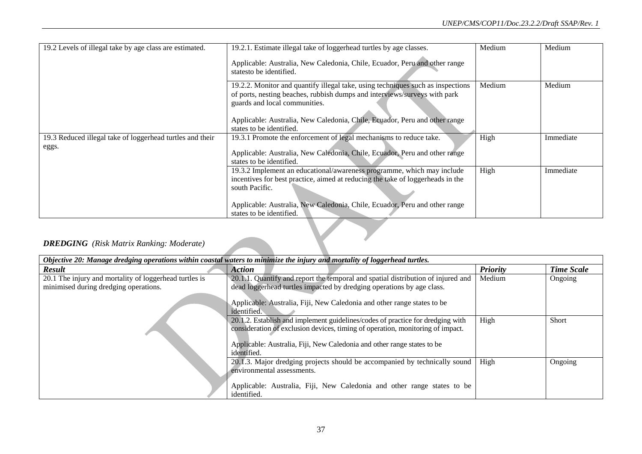| 19.2 Levels of illegal take by age class are estimated.   | 19.2.1. Estimate illegal take of loggerhead turtles by age classes.                                                                                                                           | Medium | Medium    |
|-----------------------------------------------------------|-----------------------------------------------------------------------------------------------------------------------------------------------------------------------------------------------|--------|-----------|
|                                                           | Applicable: Australia, New Caledonia, Chile, Ecuador, Peru and other range<br>statesto be identified.                                                                                         |        |           |
|                                                           | 19.2.2. Monitor and quantify illegal take, using techniques such as inspections<br>of ports, nesting beaches, rubbish dumps and interviews/surveys with park<br>guards and local communities. | Medium | Medium    |
|                                                           | Applicable: Australia, New Caledonia, Chile, Ecuador, Peru and other range<br>states to be identified.                                                                                        |        |           |
| 19.3 Reduced illegal take of loggerhead turtles and their | 19.3.1 Promote the enforcement of legal mechanisms to reduce take.                                                                                                                            | High   | Immediate |
| eggs.                                                     | Applicable: Australia, New Caledonia, Chile, Ecuador, Peru and other range<br>states to be identified.                                                                                        |        |           |
|                                                           | 19.3.2 Implement an educational/awareness programme, which may include                                                                                                                        | High   | Immediate |
|                                                           | incentives for best practice, aimed at reducing the take of loggerheads in the                                                                                                                |        |           |
|                                                           | south Pacific.                                                                                                                                                                                |        |           |
|                                                           | Applicable: Australia, New Caledonia, Chile, Ecuador, Peru and other range                                                                                                                    |        |           |
|                                                           | states to be identified.                                                                                                                                                                      |        |           |

### *DREDGING (Risk Matrix Ranking: Moderate)*

| Objective 20: Manage dredging operations within coastal waters to minimize the injury and mortality of loggerhead turtles. |                                                                                                                                                                                                                                                            |                 |                   |
|----------------------------------------------------------------------------------------------------------------------------|------------------------------------------------------------------------------------------------------------------------------------------------------------------------------------------------------------------------------------------------------------|-----------------|-------------------|
| <b>Result</b>                                                                                                              | <b>Action</b>                                                                                                                                                                                                                                              | <b>Priority</b> | <b>Time Scale</b> |
| 20.1 The injury and mortality of loggerhead turtles is<br>minimised during dredging operations.                            | 20.1.1. Quantify and report the temporal and spatial distribution of injured and<br>dead loggerhead turtles impacted by dredging operations by age class.<br>Applicable: Australia, Fiji, New Caledonia and other range states to be<br>identified.        | Medium          | Ongoing           |
|                                                                                                                            | 20.1.2. Establish and implement guidelines/codes of practice for dredging with<br>consideration of exclusion devices, timing of operation, monitoring of impact.<br>Applicable: Australia, Fiji, New Caledonia and other range states to be<br>identified. | High            | Short             |
|                                                                                                                            | 20.1.3. Major dredging projects should be accompanied by technically sound<br>environmental assessments.<br>Applicable: Australia, Fiji, New Caledonia and other range states to be<br>identified.                                                         | High            | Ongoing           |

X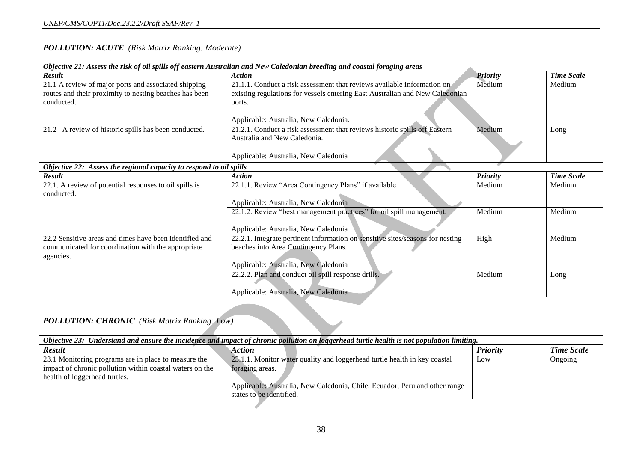### *POLLUTION: ACUTE (Risk Matrix Ranking: Moderate)*

| Objective 21: Assess the risk of oil spills off eastern Australian and New Caledonian breeding and coastal foraging areas |                                                                                |                 |                   |
|---------------------------------------------------------------------------------------------------------------------------|--------------------------------------------------------------------------------|-----------------|-------------------|
| <b>Result</b>                                                                                                             | <b>Action</b>                                                                  | <b>Priority</b> | <b>Time Scale</b> |
| 21.1 A review of major ports and associated shipping                                                                      | 21.1.1. Conduct a risk assessment that reviews available information on        | Medium          | Medium            |
| routes and their proximity to nesting beaches has been                                                                    | existing regulations for vessels entering East Australian and New Caledonian   |                 |                   |
| conducted.                                                                                                                | ports.                                                                         |                 |                   |
|                                                                                                                           |                                                                                |                 |                   |
|                                                                                                                           | Applicable: Australia, New Caledonia.                                          |                 |                   |
| 21.2 A review of historic spills has been conducted.                                                                      | 21.2.1. Conduct a risk assessment that reviews historic spills off Eastern     | Medium          | Long              |
|                                                                                                                           | Australia and New Caledonia.                                                   |                 |                   |
|                                                                                                                           | Applicable: Australia, New Caledonia                                           |                 |                   |
|                                                                                                                           |                                                                                |                 |                   |
| Objective 22: Assess the regional capacity to respond to oil spills                                                       |                                                                                |                 |                   |
| <b>Result</b>                                                                                                             | <b>Action</b>                                                                  | <b>Priority</b> | <b>Time Scale</b> |
| 22.1. A review of potential responses to oil spills is                                                                    | 22.1.1. Review "Area Contingency Plans" if available.                          | Medium          | Medium            |
| conducted.                                                                                                                |                                                                                |                 |                   |
|                                                                                                                           | Applicable: Australia, New Caledonia                                           |                 |                   |
|                                                                                                                           | 22.1.2. Review "best management practices" for oil spill management.           | Medium          | Medium            |
|                                                                                                                           |                                                                                |                 |                   |
|                                                                                                                           | Applicable: Australia, New Caledonia                                           |                 |                   |
| 22.2 Sensitive areas and times have been identified and                                                                   | 22.2.1. Integrate pertinent information on sensitive sites/seasons for nesting | High            | Medium            |
| communicated for coordination with the appropriate                                                                        | beaches into Area Contingency Plans.                                           |                 |                   |
| agencies.                                                                                                                 |                                                                                |                 |                   |
|                                                                                                                           | Applicable: Australia, New Caledonia                                           |                 |                   |
|                                                                                                                           | 22.2.2. Plan and conduct oil spill response drills.                            | Medium          | Long              |
|                                                                                                                           |                                                                                |                 |                   |
|                                                                                                                           | Applicable: Australia, New Caledonia                                           |                 |                   |

### *POLLUTION: CHRONIC (Risk Matrix Ranking: Low)*

| Objective 23: Understand and ensure the incidence and impact of chronic pollution on loggerhead turtle health is not population limiting. |                                                                            |                 |                   |
|-------------------------------------------------------------------------------------------------------------------------------------------|----------------------------------------------------------------------------|-----------------|-------------------|
| <b>Result</b>                                                                                                                             | <b>Action</b>                                                              | <b>Priority</b> | <b>Time Scale</b> |
| 23.1 Monitoring programs are in place to measure the                                                                                      | 23.1.1. Monitor water quality and loggerhead turtle health in key coastal  | Low             | Ongoing           |
| impact of chronic pollution within coastal waters on the<br>health of loggerhead turtles.                                                 | foraging areas.                                                            |                 |                   |
|                                                                                                                                           | Applicable: Australia, New Caledonia, Chile, Ecuador, Peru and other range |                 |                   |
|                                                                                                                                           | states to be identified.                                                   |                 |                   |
|                                                                                                                                           |                                                                            |                 |                   |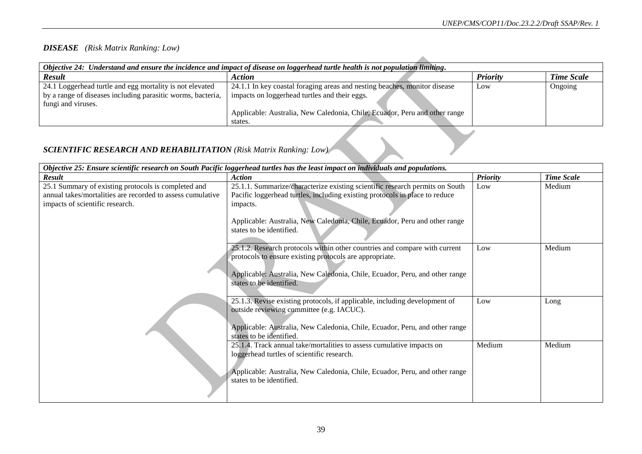### *DISEASE (Risk Matrix Ranking: Low)*

| Objective 24: Understand and ensure the incidence and impact of disease on loggerhead turtle health is not population limiting.               |                                                                                                                                                                                                                     |                 |                   |  |
|-----------------------------------------------------------------------------------------------------------------------------------------------|---------------------------------------------------------------------------------------------------------------------------------------------------------------------------------------------------------------------|-----------------|-------------------|--|
| <b>Result</b>                                                                                                                                 | <b>Action</b>                                                                                                                                                                                                       | <b>Priority</b> | <b>Time Scale</b> |  |
| 24.1 Loggerhead turtle and egg mortality is not elevated<br>by a range of diseases including parasitic worms, bacteria,<br>fungi and viruses. | 24.1.1 In key coastal foraging areas and nesting beaches, monitor disease<br>impacts on loggerhead turtles and their eggs.<br>Applicable: Australia, New Caledonia, Chile, Ecuador, Peru and other range<br>states. | Low             | Ongoing           |  |
| <b>SCIENTIFIC RESEARCH AND REHABILITATION (Risk Matrix Ranking: Low)</b>                                                                      |                                                                                                                                                                                                                     |                 |                   |  |

### *SCIENTIFIC RESEARCH AND REHABILITATION (Risk Matrix Ranking: Low)*

| Objective 25: Ensure scientific research on South Pacific loggerhead turtles has the least impact on individuals and populations.                    |                                                                                                                                                                                                                                                                              |                 |                   |
|------------------------------------------------------------------------------------------------------------------------------------------------------|------------------------------------------------------------------------------------------------------------------------------------------------------------------------------------------------------------------------------------------------------------------------------|-----------------|-------------------|
| <b>Result</b>                                                                                                                                        | <b>Action</b>                                                                                                                                                                                                                                                                | <b>Priority</b> | <b>Time Scale</b> |
| 25.1 Summary of existing protocols is completed and<br>annual takes/mortalities are recorded to assess cumulative<br>impacts of scientific research. | 25.1.1. Summarize/characterize existing scientific research permits on South<br>Pacific loggerhead turtles, including existing protocols in place to reduce<br>impacts.<br>Applicable: Australia, New Caledonia, Chile, Ecuador, Peru and other range                        | Low             | Medium            |
|                                                                                                                                                      | states to be identified.<br>25.1.2. Research protocols within other countries and compare with current<br>protocols to ensure existing protocols are appropriate.<br>Applicable: Australia, New Caledonia, Chile, Ecuador, Peru, and other range<br>states to be identified. | Low             | Medium            |
|                                                                                                                                                      | 25.1.3. Revise existing protocols, if applicable, including development of<br>outside reviewing committee (e.g. IACUC).<br>Applicable: Australia, New Caledonia, Chile, Ecuador, Peru, and other range<br>states to be identified.                                           | Low             | Long              |
|                                                                                                                                                      | 25.1.4. Track annual take/mortalities to assess cumulative impacts on<br>loggerhead turtles of scientific research.<br>Applicable: Australia, New Caledonia, Chile, Ecuador, Peru, and other range<br>states to be identified.                                               | Medium          | Medium            |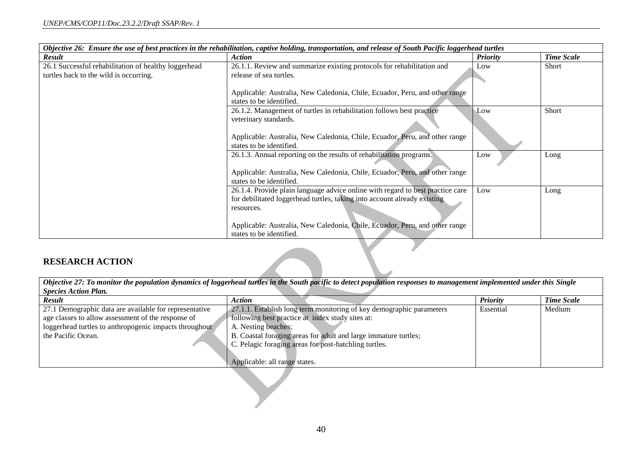| Objective 26: Ensure the use of best practices in the rehabilitation, captive holding, transportation, and release of South Pacific loggerhead turtles |                                                                                                         |                 |                   |
|--------------------------------------------------------------------------------------------------------------------------------------------------------|---------------------------------------------------------------------------------------------------------|-----------------|-------------------|
| Result                                                                                                                                                 | <b>Action</b>                                                                                           | <b>Priority</b> | <b>Time Scale</b> |
| 26.1 Successful rehabilitation of healthy loggerhead                                                                                                   | 26.1.1. Review and summarize existing protocols for rehabilitation and                                  | Low             | Short             |
| turtles back to the wild is occurring.                                                                                                                 | release of sea turtles.                                                                                 |                 |                   |
|                                                                                                                                                        | Applicable: Australia, New Caledonia, Chile, Ecuador, Peru, and other range                             |                 |                   |
|                                                                                                                                                        | states to be identified.                                                                                |                 |                   |
|                                                                                                                                                        | 26.1.2. Management of turtles in rehabilitation follows best practice                                   | Low             | Short             |
|                                                                                                                                                        | veterinary standards.                                                                                   |                 |                   |
|                                                                                                                                                        | Applicable: Australia, New Caledonia, Chile, Ecuador, Peru, and other range                             |                 |                   |
|                                                                                                                                                        | states to be identified.                                                                                |                 |                   |
|                                                                                                                                                        | 26.1.3. Annual reporting on the results of rehabilitation programs.                                     | Low             | Long              |
|                                                                                                                                                        | Applicable: Australia, New Caledonia, Chile, Ecuador, Peru, and other range                             |                 |                   |
|                                                                                                                                                        | states to be identified.                                                                                |                 |                   |
|                                                                                                                                                        | 26.1.4. Provide plain language advice online with regard to best practice care                          | Low             | Long              |
|                                                                                                                                                        | for debilitated loggerhead turtles, taking into account already existing                                |                 |                   |
|                                                                                                                                                        | resources.                                                                                              |                 |                   |
|                                                                                                                                                        | Applicable: Australia, New Caledonia, Chile, Ecuador, Peru, and other range<br>states to be identified. |                 |                   |

### **RESEARCH ACTION**

| Objective 27: To monitor the population dynamics of loggerhead turtles in the South pacific to detect population responses to management implemented under this Single |                                                                      |                 |                   |  |  |
|------------------------------------------------------------------------------------------------------------------------------------------------------------------------|----------------------------------------------------------------------|-----------------|-------------------|--|--|
| <b>Species Action Plan.</b>                                                                                                                                            |                                                                      |                 |                   |  |  |
| <b>Result</b>                                                                                                                                                          | <b>Action</b>                                                        | <b>Priority</b> | <b>Time Scale</b> |  |  |
| 27.1 Demographic data are available for representative                                                                                                                 | 27.1.1. Establish long term monitoring of key demographic parameters | Essential       | Medium            |  |  |
| age classes to allow assessment of the response of                                                                                                                     | following best practice at index study sites at:                     |                 |                   |  |  |
| loggerhead turtles to anthropogenic impacts throughout                                                                                                                 | A. Nesting beaches;                                                  |                 |                   |  |  |
| the Pacific Ocean.                                                                                                                                                     | B. Coastal foraging areas for adult and large immature turtles;      |                 |                   |  |  |
|                                                                                                                                                                        | C. Pelagic foraging areas for post-hatchling turtles.                |                 |                   |  |  |
|                                                                                                                                                                        |                                                                      |                 |                   |  |  |
|                                                                                                                                                                        | Applicable: all range states.                                        |                 |                   |  |  |
|                                                                                                                                                                        |                                                                      |                 |                   |  |  |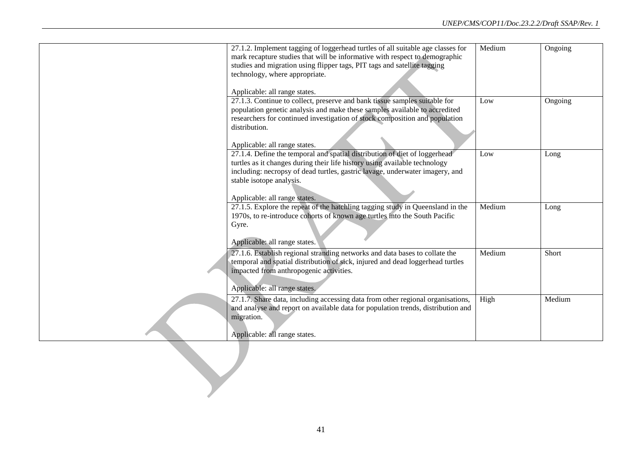| 27.1.2. Implement tagging of loggerhead turtles of all suitable age classes for<br>mark recapture studies that will be informative with respect to demographic<br>studies and migration using flipper tags, PIT tags and satellite tagging<br>technology, where appropriate.<br>Applicable: all range states. | Medium | Ongoing |
|---------------------------------------------------------------------------------------------------------------------------------------------------------------------------------------------------------------------------------------------------------------------------------------------------------------|--------|---------|
| 27.1.3. Continue to collect, preserve and bank tissue samples suitable for<br>population genetic analysis and make these samples available to accredited<br>researchers for continued investigation of stock composition and population<br>distribution.<br>Applicable: all range states.                     | Low    | Ongoing |
| 27.1.4. Define the temporal and spatial distribution of diet of loggerhead<br>turtles as it changes during their life history using available technology<br>including: necropsy of dead turtles, gastric lavage, underwater imagery, and<br>stable isotope analysis.<br>Applicable: all range states.         | Low    | Long    |
| 27.1.5. Explore the repeat of the hatchling tagging study in Queensland in the<br>1970s, to re-introduce cohorts of known age turtles into the South Pacific<br>Gyre.<br>Applicable: all range states.                                                                                                        | Medium | Long    |
| 27.1.6. Establish regional stranding networks and data bases to collate the<br>temporal and spatial distribution of sick, injured and dead loggerhead turtles<br>impacted from anthropogenic activities.<br>Applicable: all range states.                                                                     | Medium | Short   |
| 27.1.7. Share data, including accessing data from other regional organisations,<br>and analyse and report on available data for population trends, distribution and<br>migration.<br>Applicable: all range states.                                                                                            | High   | Medium  |
|                                                                                                                                                                                                                                                                                                               |        |         |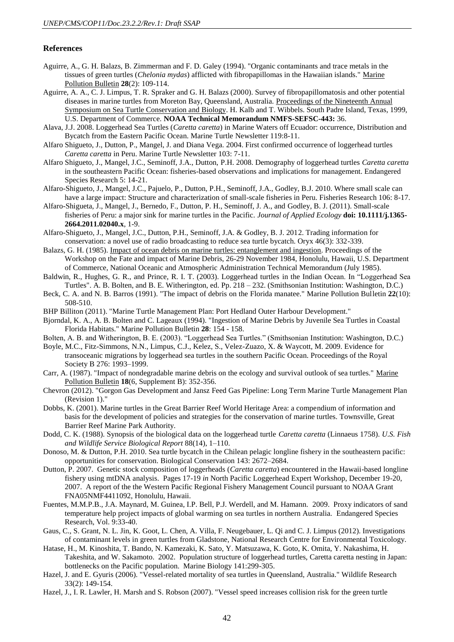#### **References**

- <span id="page-41-5"></span>Aguirre, A., G. H. Balazs, B. Zimmerman and F. D. Galey (1994). "Organic contaminants and trace metals in the tissues of green turtles (*Chelonia mydas*) afflicted with fibropapillomas in the Hawaiian islands." Marine Pollution Bulletin **28**(2): 109-114.
- <span id="page-41-6"></span>Aguirre, A. A., C. J. Limpus, T. R. Spraker and G. H. Balazs (2000). Survey of fibropapillomatosis and other potential diseases in marine turtles from Moreton Bay, Queensland, Australia. Proceedings of the Nineteenth Annual Symposium on Sea Turtle Conservation and Biology. H. Kalb and T. Wibbels. South Padre Island, Texas, 1999, U.S. Department of Commerce. **NOAA Technical Memorandum NMFS-SEFSC-443:** 36.
- Alava, J.J. 2008. Loggerhead Sea Turtles (*Caretta caretta*) in Marine Waters off Ecuador: occurrence, Distribution and Bycatch from the Eastern Pacific Ocean. Marine Turtle Newsletter 119:8-11.
- Alfaro Shigueto, J., Dutton, P., Mangel, J. and Diana Vega. 2004. First confirmed occurrence of loggerhead turtles *Caretta caretta* in Peru. Marine Turtle Newsletter 103: 7-11.
- Alfaro Shigueto, J., Mangel, J.C., Seminoff, J.A., Dutton, P.H. 2008. Demography of loggerhead turtles *Caretta caretta* in the southeastern Pacific Ocean: fisheries-based observations and implications for management. Endangered Species Research 5: 14-21.
- Alfaro-Shigueto, J., Mangel, J.C., Pajuelo, P., Dutton, P.H., Seminoff, J.A., Godley, B.J. 2010. Where small scale can have a large impact: Structure and characterization of small-scale fisheries in Peru. Fisheries Research 106: 8-17.
- Alfaro-Shigueta, J., Mangel, J., Bernedo, F., Dutton, P. H., Seminoff, J. A., and Godley, B. J. (2011). Small-scale fisheries of Peru: a major sink for marine turtles in the Pacific. *Journal of Applied Ecology* **doi: 10.1111/j.1365- 2664.2011.02040.x**, 1-9.
- Alfaro-Shigueto, J., Mangel, J.C., Dutton, P.H., Seminoff, J.A. & Godley, B. J. 2012. Trading information for conservation: a novel use of radio broadcasting to reduce sea turtle bycatch. Oryx 46(3): 332-339.
- <span id="page-41-1"></span>Balazs, G. H. (1985). Impact of ocean debris on marine turtles: entanglement and ingestion. Proceedings of the Workshop on the Fate and impact of Marine Debris, 26-29 November 1984, Honolulu, Hawaii, U.S. Department of Commerce, National Oceanic and Atmospheric Administration Technical Memorandum (July 1985).
- Baldwin, R., Hughes, G. R., and Prince, R. I. T. (2003). Loggerhead turtles in the Indian Ocean. In "Loggerhead Sea Turtles". A. B. Bolten, and B. E. Witherington, ed. Pp. 218 – 232. (Smithsonian Institution: Washington, D.C.)
- Beck, C. A. and N. B. Barros (1991). "The impact of debris on the Florida manatee." Marine Pollution Bulletin **22**(10): 508-510.
- <span id="page-41-0"></span>BHP Billiton (2011). "Marine Turtle Management Plan: Port Hedland Outer Harbour Development."
- <span id="page-41-3"></span>Bjorndal, K. A., A. B. Bolten and C. Lageaux (1994). "Ingestion of Marine Debris by Juvenile Sea Turtles in Coastal Florida Habitats." Marine Pollution Bulletin **28**: 154 - 158.
- Bolten, A. B. and Witherington, B. E. (2003). "Loggerhead Sea Turtles." (Smithsonian Institution: Washington, D.C.)
- Boyle, M.C., Fitz-Simmons, N.N., Limpus, C.J., Kelez, S., Velez-Zuazo, X. & Waycott, M. 2009. Evidence for transoceanic migrations by loggerhead sea turtles in the southern Pacific Ocean. Proceedings of the Royal Society B 276: 1993–1999.
- <span id="page-41-2"></span>Carr, A. (1987). "Impact of nondegradable marine debris on the ecology and survival outlook of sea turtles." Marine Pollution Bulletin **18**(6, Supplement B): 352-356.
- Chevron (2012). "Gorgon Gas Development and Jansz Feed Gas Pipeline: Long Term Marine Turtle Management Plan (Revision 1)."
- Dobbs, K. (2001). Marine turtles in the Great Barrier Reef World Heritage Area: a compendium of information and basis for the development of policies and strategies for the conservation of marine turtles. Townsville, Great Barrier Reef Marine Park Authority.
- Dodd, C. K. (1988). Synopsis of the biological data on the loggerhead turtle *Caretta caretta* (Linnaeus 1758). *U.S. Fish and Wildlife Service Biological Report* 88(14), 1–110.
- Donoso, M. & Dutton, P.H. 2010. Sea turtle bycatch in the Chilean pelagic longline fishery in the southeastern pacific: opportunities for conservation. Biological Conservation 143: 2672–2684.
- Dutton, P. 2007. Genetic stock composition of loggerheads (*Caretta caretta*) encountered in the Hawaii-based longline fishery using mtDNA analysis. Pages 17-19 *in* North Pacific Loggerhead Expert Workshop, December 19-20, 2007. A report of the the Western Pacific Regional Fishery Management Council pursuant to NOAA Grant FNA05NMF4411092, Honolulu, Hawaii.
- Fuentes, M.M.P.B., J.A. Maynard, M. Guinea, I.P. Bell, P.J. Werdell, and M. Hamann. 2009. Proxy indicators of sand temperature help project impacts of global warming on sea turtles in northern Australia. Endangered Species Research, Vol. 9:33-40.
- <span id="page-41-4"></span>Gaus, C., S. Grant, N. L. Jin, K. Goot, L. Chen, A. Villa, F. Neugebauer, L. Qi and C. J. Limpus (2012). Investigations of contaminant levels in green turtles from Gladstone, National Research Centre for Environmental Toxicology.
- Hatase, H., M. Kinoshita, T. Bando, N. Kamezaki, K. Sato, Y. Matsuzawa, K. Goto, K. Omita, Y. Nakashima, H. Takeshita, and W. Sakamoto. 2002. Population structure of loggerhead turtles, Caretta caretta nesting in Japan: bottlenecks on the Pacific population. Marine Biology 141:299-305.
- Hazel, J. and E. Gyuris (2006). "Vessel-related mortality of sea turtles in Queensland, Australia." Wildlife Research 33(2): 149-154.
- Hazel, J., I. R. Lawler, H. Marsh and S. Robson (2007). "Vessel speed increases collision risk for the green turtle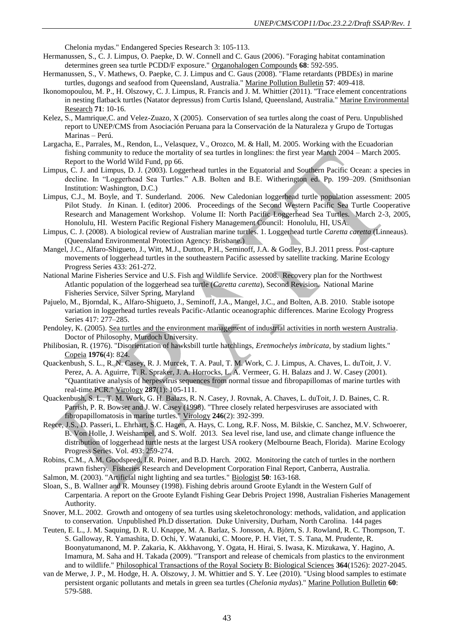Chelonia mydas." Endangered Species Research 3: 105-113.

- <span id="page-42-3"></span>Hermanussen, S., C. J. Limpus, O. Paepke, D. W. Connell and C. Gaus (2006). "Foraging habitat contamination determines green sea turtle PCDD/F exposure." Organohalogen Compounds **68**: 592-595.
- <span id="page-42-4"></span>Hermanussen, S., V. Mathews, O. Paepke, C. J. Limpus and C. Gaus (2008). "Flame retardants (PBDEs) in marine turtles, dugongs and seafood from Queensland, Australia." Marine Pollution Bulletin **57**: 409-418.
- <span id="page-42-6"></span>Ikonomopoulou, M. P., H. Olszowy, C. J. Limpus, R. Francis and J. M. Whittier (2011). "Trace element concentrations in nesting flatback turtles (Natator depressus) from Curtis Island, Queensland, Australia." Marine Environmental Research **71**: 10-16.
- Kelez, S., Mamrique,C. and Velez-Zuazo, X (2005). Conservation of sea turtles along the coast of Peru. Unpublished report to UNEP/CMS from Asociación Peruana para la Conservación de la Naturaleza y Grupo de Tortugas Marinas – Perú.
- Largacha, E., Parrales, M., Rendon, L., Velasquez, V., Orozco, M. & Hall, M. 2005. Working with the Ecuadorian fishing community to reduce the mortality of sea turtles in longlines: the first year March 2004 – March 2005. Report to the World Wild Fund, pp 66.
- Limpus, C. J. and Limpus, D. J. (2003). Loggerhead turtles in the Equatorial and Southern Pacific Ocean: a species in decline. In "Loggerhead Sea Turtles." A.B. Bolten and B.E. Witherington ed. Pp. 199–209. (Smithsonian Institution: Washington, D.C.)
- Limpus, C.J., M. Boyle, and T. Sunderland. 2006. New Caledonian loggerhead turtle population assessment: 2005 Pilot Study. *In* Kinan. I. (editor) 2006. Proceedings of the Second Western Pacific Sea Turtle Cooperative Research and Management Workshop. Volume II: North Pacific Loggerhead Sea Turtles. March 2-3, 2005, Honolulu, HI. Western Pacific Regional Fishery Management Council: Honolulu, HI, USA.
- Limpus, C. J. (2008). A biological review of Australian marine turtles. 1. Loggerhead turtle *Caretta caretta* (Linneaus). (Queensland Environmental Protection Agency: Brisbane.)
- Mangel, J.C., Alfaro-Shigueto, J., Witt, M.J., Dutton, P.H., Seminoff, J.A. & Godley, B.J. 2011 press. Post-capture movements of loggerhead turtles in the southeastern Pacific assessed by satellite tracking. Marine Ecology Progress Series 433: 261-272.
- National Marine Fisheries Service and U.S. Fish and Wildlife Service. 2008. Recovery plan for the Northwest Atlantic population of the loggerhead sea turtle (*Caretta caretta*), Second Revision. National Marine Fisheries Service, Silver Spring, Maryland
- Pajuelo, M., Bjorndal, K., Alfaro-Shigueto, J., Seminoff, J.A., Mangel, J.C., and Bolten, A.B. 2010. Stable isotope variation in loggerhead turtles reveals Pacific-Atlantic oceanographic differences. Marine Ecology Progress Series 417: 277–285.
- Pendoley, K. (2005). Sea turtles and the environment management of industrial activities in north western Australia. Doctor of Philosophy, Murdoch University.
- <span id="page-42-1"></span>Philibosian, R. (1976). "Disorientation of hawksbill turtle hatchlings, *Eretmochelys imbricata*, by stadium lights." Copeia **1976**(4): 824.
- <span id="page-42-8"></span>Quackenbush, S. L., R. N. Casey, R. J. Murcek, T. A. Paul, T. M. Work, C. J. Limpus, A. Chaves, L. duToit, J. V. Perez, A. A. Aguirre, T. R. Spraker, J. A. Horrocks, L. A. Vermeer, G. H. Balazs and J. W. Casey (2001). "Quantitative analysis of herpesvirus sequences from normal tissue and fibropapillomas of marine turtles with real-time PCR." Virology **287**(1): 105-111.
- <span id="page-42-7"></span>Quackenbush, S. L., T. M. Work, G. H. Balazs, R. N. Casey, J. Rovnak, A. Chaves, L. duToit, J. D. Baines, C. R. Parrish, P. R. Bowser and J. W. Casey (1998). "Three closely related herpesviruses are associated with fibropapillomatosis in marine turtles." Virology **246**(2): 392-399.
- Reece, J.S., D. Passeri, L. Ehrhart, S.C. Hagen, A. Hays, C. Long, R.F. Noss, M. Bilskie, C. Sanchez, M.V. Schwoerer, B. Von Holle, J. Weishampel, and S. Wolf. 2013. Sea level rise, land use, and climate change influence the distribution of loggerhead turtle nests at the largest USA rookery (Melbourne Beach, Florida). Marine Ecology Progress Series. Vol. 493: 259-274.
- Robins, C.M., A.M. Goodspeed, I.R. Poiner, and B.D. Harch. 2002. Monitoring the catch of turtles in the northern prawn fishery. Fisheries Research and Development Corporation Final Report, Canberra, Australia.
- <span id="page-42-0"></span>Salmon, M. (2003). "Artificial night lighting and sea turtles." Biologist **50**: 163-168.
- Sloan, S., B. Wallner and R. Mounsey (1998). Fishing debris around Groote Eylandt in the Western Gulf of Carpentaria. A report on the Groote Eylandt Fishing Gear Debris Project 1998, Australian Fisheries Management Authority.
- Snover, M.L. 2002. Growth and ontogeny of sea turtles using skeletochronology: methods, validation, and application to conservation. Unpublished Ph.D dissertation. Duke University, Durham, North Carolina. 144 pages
- <span id="page-42-2"></span>Teuten, E. L., J. M. Saquing, D. R. U. Knappe, M. A. Barlaz, S. Jonsson, A. Björn, S. J. Rowland, R. C. Thompson, T. S. Galloway, R. Yamashita, D. Ochi, Y. Watanuki, C. Moore, P. H. Viet, T. S. Tana, M. Prudente, R. Boonyatumanond, M. P. Zakaria, K. Akkhavong, Y. Ogata, H. Hirai, S. Iwasa, K. Mizukawa, Y. Hagino, A. Imamura, M. Saha and H. Takada (2009). "Transport and release of chemicals from plastics to the environment and to wildlife." Philosophical Transactions of the Royal Society B: Biological Sciences **364**(1526): 2027-2045.
- <span id="page-42-5"></span>van de Merwe, J. P., M. Hodge, H. A. Olszowy, J. M. Whittier and S. Y. Lee (2010). "Using blood samples to estimate persistent organic pollutants and metals in green sea turtles (*Chelonia mydas*)." Marine Pollution Bulletin **60**: 579-588.